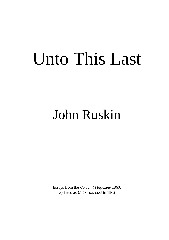# Unto This Last

## John Ruskin

Essays from the *Cornhill Magazine* 1860, reprinted as *Unto This Last* in 1862.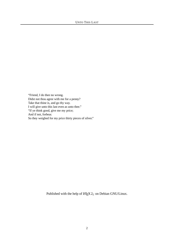"Friend, I do thee no wrong. Didst not thou agree with me for a penny? Take that thine is, and go thy way. I will give unto this last even as unto thee." "If ye think good, give me my price; And if not, forbear. So they weighed for my price thirty pieces of silver."

Published with the help of  $\mathbb{E} \mathbb{E} \times \mathbb{E}$  and Debian GNU/Linux.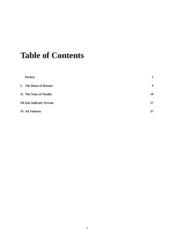## **Table of Contents**

| <b>Preface</b>                   | 5  |
|----------------------------------|----|
| I. The Roots of Honour           | 9  |
| <b>II.</b> The Veins of Wealth   | 19 |
| <b>III. Qui Judicatis Terram</b> | 27 |
| <b>IV. Ad Valorem</b>            | 37 |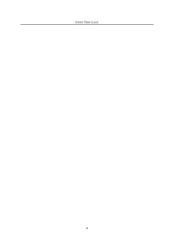UNTO THIS LAST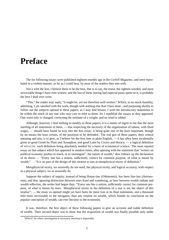### **Preface**

The for following essays were published eighteen months ago in the *Corhill Magazine*, and were reprobated in a violent manner, as far as I could hear, by most of the readers they met with.

Not a whit the less, I believe them to be the best, that is to say, the truest, the rightest-worded, and most serviceable things I have ever written; and the last of them, having had especial pains spent on it, is probably the best I shall ever write.

"This," the reader may reply, "it might be, yet not therefore well written." Which, in no mock humility, admitting, I yet satisfied with the work, though with nothing else that I have done ; and purposing shortly to follow out the subjects opened in these papers, as I may find leisure, I wish the introductory statements to be within the reach of any one who may care to refer to them. So I republish the essays as they appeared. One word only is changed, correcting the estimate of a weight; and no word is added.

Although, however, I find nothing to modify in these papers, it is a matter of regret to me that the most startling of all statements in them, — that respecting the necessity of the organization of labour, with fixed wages, — should have found its way into the first essay; it being quite one of the least important, though by no means the least certain, of the positions to be defended. The real gist of these papers, their central meaning and aim, is to give, as I believe for the first time in plain English, — it has often been incidentally given in good Greek by Plato and Xenophon, and good Latin by Cicero and Horace, — a logical definition of WEALTH: such definition being absolutely needed for a basis of economical science. The most reputed essay on that subject which has appeared in modern times, after opening with the statement that "writers on political economy profess to teach, or to investigate<sup>1</sup>, the nature of wealth," thus follows up the declaration of its thesis — "Every one has a notion, sufficiently correct for common purpose, of what is meant by wealth." ... "It is no part of the design of this treatise to aim at metaphysical nicety of definition."

Metaphysicial nicety, we assuredly do not need; but physical nicety, and logical accuracy, with respect to a physical subject, we as assuredly do.

Suppose the subject of inquiry, instead of being House-law (*Oikonomia*), has been Star-law (*Astronomia*), and that, ignoring distinction between stars fixed and wandering, as here between wealth radiant and wealth reflective, the writer had begun thus: "Every one has a notion, sufficiently correct for common purpose, of what is meant by stars. Metaphysical nicety in the definition of a star is not the object of this treatise"; — the essay so opened might yet have been far more true in its final statements, and a thousand fold more serviceable to the navigator, than any treatise on wealth, which founds its conclusion on the popular conception of wealth, can ever become to the economist.

It was, therefore, the first object of these following papers to give an accurate and stable definition of wealth. Their second object was to show that the acquisition of wealth was finally possible only under

<sup>&</sup>lt;sup>1</sup>Which? for where investigation is necessary, teaching is impossible.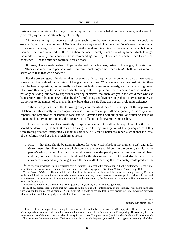certain moral conditions of society, of which quite the first was a belief in the existence, and even, for practical purpose, in the attainability of honesty.

Without venturing to pronounce — since on such matter human judgement is by no means conclusive — what is, or is not, the noblest of God's works, we may yet admit so much of Pope's assertion as that an honest man is among His best works presently visible, and, as things stand, a somewhat rare one; but not an incredible or miraculous work; still less an abnormal one. Honesty is not a disturbing force, which deranges the orbits of economy; but a consistent and commanding force, by obedience to which — and by no other obedience — those orbits can continue clear of chaos.

It istrue, I have sometimes heard Pope condemned for the lowness, instead of the height, of his standard: — "Honesty is indeed a respectable virtue; but how much higher may men attain! Shall nothing more be asked of us than that we be honest?"

For the present, good friends, nothing. It seems that in our aspirations to be more than that, we have to some extent lost sight of the propriety of being so much as that. What else we may have lost faith in, there shall be here no question; but assuredly we have lost faith in common honesty, and in the working power of it. And this faith, with the facts on which it may rest, it is quite our first business to recover and keep: not only believing, but even by experience assuring ourselves, that there are yet in the world men who can be restrained from fraud otherwise than by the fear of losing employment<sup>2</sup>; nay, that it is even accurately in proportion to the number of such men in any State, that the said State does or can prolong its existence.

To these two points, then, the following essays are mainly directed. The subject of the organization of labour is only casually touched upon; because, if we once can get sufficient quantity of honesty in our captains, the organization of labour is easy, and will develop itself without quarrel or difficulty; but if we cannot get honesty in our captains, the organization of labour is for evermore impossible.

The several conditions of its possibility I purpose to examine at length in the sequel. Yet, lest the reader should be alarmed by the hints thrown out during the following investigation of first principles, as if they were leading him into unexpectedly dangerous ground, I will, for his better assurance, state at once the worst of the political creed at which I wish him to arrive.

1. First, — that there should be training schools for youth established, at Government  $cost<sup>3</sup>$ , and under Government discipline, over the whole country; that every child born in the country should, at the parent's whish, be permitted (and, in certain cases, be under penalty required) to pass through them; and that, in these schools, the child should (with other minor pieces of knowledge hereafter to be considered) imperatively be taught, with the best skill of teaching that the country could produce, the

VENICE, *Sunday, 18th March, 1877*.

<sup>3</sup>It will probably be inquired by near-sighted persons, out of what funds such schools could be supported. The expedient modes of direct provision for them I will examine hereafter; indirectly, they would be far more than self-supporting. The economy in crime alone, (quite one of the most costly articles of luxury in the modern European market,) which such schools would induce, would suffice to support them ten times over. Their economy of labour would be pure again, and that too large to be presently calculable.

<sup>&</sup>lt;sup>2</sup> The effectual discipline which is exercised over a workman is not that of his corporation, but of his customers. It is the fear of losing their employment which restrains his frauds, and corrects his negligence.' (*Wealth of Nations*, Book I, chap. 10.)

*Note to Second Edition.* — The only addition I will make to the words of this book shall be a very earnest request to any Christian reader to think within himself what an entirely damned state of soul any human creature must have got into, who could read with acceptance such a sentence as this; much more, write it; and to oppose to it, the first commercial words of Venice, discovered by me in her first church:

<sup>&</sup>quot;Around this temple, let the Merchant's law be just, his weights true, and his contracts guileless."

If any of my present readers think that my language in this note is either intemperate, or unbecoming, I will beg them to read with attention the Eighteenth paragraph of *Sesame and Lilies*; and to be assured that I never, myself, now use, in writing, any word which is not, in my deliberate judgement, the fittest for the occasion.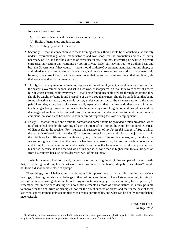following three things: —

- (a) The laws of health, and the exercices anjoined by them;
- (b) Habits of gentleness and justice; and
- (c) The calling by which he is to live.
- 2. Secondly, that, in connection with these training schools, there should be established, also entirely under Government regulation, manufactories and workshops for the production and sale of every necessary of life, and for the exercise of every useful art. And that, interfering no whit with private entreprise, nor setting any restraints or tax on private trade, but leaving both to do their best, and beat the Government if they could, — there should, at these Government manufactories and shops, be authoritatively good and examplary work done, and pure and true substance sold; so that a man could be sure, if he chose to pay the Government price, that he got for his money bread that was bread, ale that was ale, and work that was work.
- 3. Thirdly, that any man, or woman, or boy, or girl, out of employment, should be at once received at the nearest Government school, and set to such work as it appeared, on trial, they were fit for, at a fiwed rate of wages determinable every year; — that, being found incapable of work through ignorance, they should be taught, or being found incapable of work through sickness, should be tended; but that being found objecting to work, they should be set, under compulsion of the strictest nature, to the more painful and degrading forms of necessary toil, especially to that in mines and other places of danger (such danger being, however, diminished to the utmost by careful regulation and discipline), and the due wages of such work be retained, cost of compulsion first abstracted — to be at the workman's command, so soon as he has come to sounder mind respecting the laws of employment.
- 4. Lastly, that for the old and destitute, comfort and home should be provided; which provision, when misfortune had been by the working of such a system sifted from guilt, would be honourable instead of disgraceful to the receiver. For (I repaet this passage out of my *Political Economy of Art*, to which the reader is referred for farther detail) "a labourer serves his country with his spade, just as a man in the middle ranks of life serves it with sword, pen, or lancet. If the service be less, and, therefore, the wages during health less, then the reward when health is broken may be less, but not less honourable; and it ought to be quite as natural and straightforward a matter for a labourer to take his pension from his parish, because he has deserved well of his parish, as for a man in higher rank to take his pension from his country, because he has deserved well of his country."

To which statement, I will only add, for conclusion, respecting the discipline and pay of life and death, that, for both high and low, Livy's last words touching Valerius Publicola, "de publico est elatus"<sup>4</sup>, ought not to be a dishonourable close of epitaph.

These things, then, I believe, and am about, as I find power, to explain and illustrate in their various bearings; following out also what belongs to them of collateral inquiry. Here I state them only in brief, to prevent the reader casting about in alarm for my ultimate meaning; yet requesting him, for the present, to remember, that in a science dealing with so subtle elements as those of human nature, it is only possible to answer for the final truth of principles, not for the direct success of plans: and that in the best of these last, what can ve immediately accomplished is always questionable, and what can be finally accomplished, inconceivable.

> DENMARK HILL, *10th May, 1862*.

<sup>4</sup> P. Valerius, omnium consensu princeps belli pacisque artibus, anno post moritur; gloriâ ingenti, copiis, familiaribus adeo exiguis, ut funeri sumtus deesset: de publico est elatus. Luxere matronae ut Brutum. — Lib. ii. c. xvi.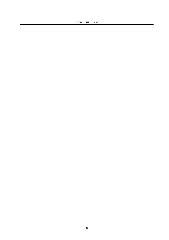UNTO THIS LAST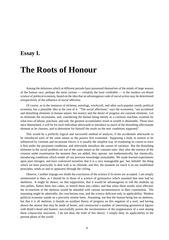#### **Essay I.**

## **The Roots of Honour**

Among the delusions which at different periods have possessed themselves of the minds of large masses of the human race, perhaps the most curious — certainly the least creditable — is the modern soi-disant science of political economy, based on the idea that an advantageous code ofsocial action may be determined irrespectively of the influence of social affection.

Of course, as in the instances of alchemy, astrology, witchcraft, and other such popular creeds, political economy, has a plausible idea at the root of it. "The social affections," says the economist, "are accidental and disturbing elements in human nature; but avarice and the desire of progress are constant elements. Let us eliminate the inconstants, and, considering the human being merely as a covetous machine, examine by what laws of labour, purchase, and sale, the greatest accumulative result in wealth is obtainable. Those laws once determined, it will be for each individual afterwards to introduce as much of the disturbing affectionate element as he chooses, and to determine for himself the result on the new conditions supposed."

This would be a perfectly logical and successful method of analysis, if the accidentals afterwards to be introduced were of the same nature as the powers first examined. Supposing a body in motion to be influenced by constant and inconstant forces, it is usually the simplest way of examining its course to trace it first under the persistent conditions, and afterwards introduce the causes of variation. But the disturbing elements in the social problem are not of the same nature as the constant ones: they alter the essence of the creature under examination the moment they are added; they operate, not mathematically, but chemically, introducing conditions which render all our previous knowledge unavailable. We made learned experiments upon pure nitrogen, and have convinced ourselves that it is a very manageable gas: but, behold! the thing which we have practically to deal with is its chloride; and this, the moment we touch it on our established principles, sends us and or apparatus through the ceiling.

Observe, I neither impugn nor doubt the conclusion of the science if its terms are accepted. I am simply uninterested in then, as I should be in those of a science of gymnastics which assumed that men had no skeletons. It might be shown, on that supposition, that it would be advantageous to roll the students up into pellets, flatten them into cakes, or stretch them into cables; and that when these results were effected, the re-insertion of the skeleton would be attended with various inconveniences to their constitution. The reasoning might be admirable, the conclusions true, and the science deficient only in applicability. Modern political economy stands on a precisely similar basis. Assuming, not that the human being has no skeleton, but that it is all skeleton, it founds an ossifiant theory of progress on this negation of a soul; and having shown the utmost that may be made of bones, and constructed a number of interesting geometrical figures with death's-head and humeri, successfully proves the inconvenience of the reappearance of a soul among these corpuscular structures. I do not deny the truth of this theory: I simply deny its applicability to the present phase of the world.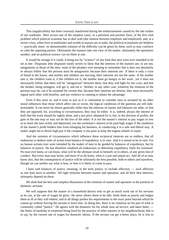This inapplicability has been curiously manifested during the embarrassment caused by the late strikes of our workmen. Here occurs one of the simplest cases, in a pertinent and positive form, of the first vital problem which political economy has to deal with (the relation between employer and employed); and, at a severe crisis, when lives in multitudes and wealth in masses are at stake, the political economists are helpless — practically mute: no demonstrable solution of the difficulty can be given by them, such as may convince or calm the opposing parties. Obstinately the masters take one view of the matter. obstinately the operatives another; and no political science can set them at one.

It would be strange if it could, it being not by "science" of any kind that men were ever intended to be set at one. Disputant after disputant vainly strives to show that the interests of the masters are, or are not, antagonistic to those of the men: none of the pleaders ever seeming to remember that it does not absolutely or always follow that the persons must he antagonistic because their interests are. If there is only a crust of bread in the house, and mother and children are starving, their interests are not the same. If the mother eats it, the children want it; if the children eat it, the mother must go hungry to her work. yet it does not necessarily follow that there will be "antagonism" between them, that they will fight for the crust, and that the mother, being strongest, will get it, and eat it. Neither, in any other case, whatever the relations of the persons may be, can it be assumed for certain that, because their interests are diverse, they must necessarily regard each other with hostility, and use violence or cunning to obtain the advantage.

Even if this were so, and it were as just as it is convenient to consider men as actuated by no other moral influences than those which affect rats or swine, the logical conditions of the question are still indeterminable. It can never be shown generally either that the interests of master and labourer are alike, or that they are opposed; for, according to circumstances, they may be either. It is, indeed, always the interest of both that the work should be rightly done, and a just price obtained for it; but, in the division of profits, the gain of the one may or may not be the loss of the other. It is not the master's interest to pay wages so low as to leave the men sickly and depressed, nor the workman's interest to be paid high wages if the smallness of the master's profit hinders him from enlarging his business, or conducting it in a safe and liberal way. A stoker ought not to desire high pay if the company is too poor to keep the engine-wheels in repair.

And the varieties of circumstances which influence these reciprocal interests are so endless, that all endeavour to deduce rules of action from balance of expediency is in vain. And it is meant to be in vain. For no human actions ever were intended by the maker of men to be guided by balances of expediency, but by balances of justice. He has therefore rendered all endeavours to determine expediency futile for evermore. No man ever knew, or can know, what will be the ultimate result to himself, or to others, of any given line of conduct. But every man may know, and most of us do know, what is a just and unjust act. And all of us may know also, that the consequences of justice will be ultimately the best possible, both to others and ourselves, though we can neither say what is best, or how it is likely to come to pass.

I have said balances of justice, meaning, in the term justice, to include affection, — such affection as one man owes to another. All right relations between master and operative, and all their best interests, ultimately depend on these.

We shall find the best and simplest illustration of the relations of master and operative in the position of domestic servants.

We will suppose that the master of a household desires only to get as much work out of his servants as he can, at the rate of wages he gives. He never allows them to be idle; feeds them as poorly and lodges them as ill as they will endure, and in all things pushes his requirements to the exact point beyond which he cannot go without forcing the servant to leave him. In doing this, there is no violation on his part of what is commonly called "justice." He agrees with the domestic for his whole time ad service, and takes them; the limits of hardship in treatment being fixed by the practice of other masters in his neighbourhood; that is to say, by the current rate of wages for domestic labour. If the servant can get a better place, he is free to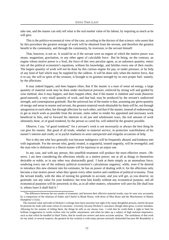take one, and the master can only tell what is the real market value of his labour, by requiring as much as he will give.

This is the politico-economical view of the case, according to the doctors of that science; who assert that by this procedure the greatest average of work will be obtained from the servant, and therefore the greatest benefit to the community, and through the community, by reversion, to the servant himself.

That, however, is not so. It would be so if the servant were an engine of which the motive power was steam, magnetism, gravitation, or any other agent of calculable force. But he being, on the contrary, an engine whose motive power is a Soul, the force of this very peculiar agent, as an unknown quantity, enters into all the political economist's equations, without his knowledge, and falsifies every one of their results. The largest quantity of work will not be done by this curious engine for pay, or under pressure, or by help of any kind of fuel which may be supplied by the caldron. It will be done only when the motive force, that is to say, the will or spirit of the creature, is brought to its greatest strength by its own proper fuel: namely, by the affections.

It may indeed happen, and does happen often, that if the master is a man of sense ad energy, a large quantity of material work may be done under mechanical pressure, enforced by strong will and guided by wise method; also it may happen, and does happen often, that if the master is indolent and weak (however good-natured), a very small quantity of work, and that bad, may be produced by the servant's undirected strength, and contemptuous gratitude. But the universal law of the matter isthat, assuming any given quantity of energy and sense in master and servant, the greatest material result obtainable by them will be, not through antagonism to each other, but through affection for each other; and that if the master, instead of endeavouring to get as much work as possible from the servant, seeks rather to render his appointed and necessary work beneficial to him, and to forward his interests in all just and wholesome ways, the real amount of work ultimately done, or of good rendered, by the person so cared for, will indeed be the greatest possible.

Observe, I say, "of good rendered," for a servant's work is not necessarily or always the best thing he can give his master. But good of all kinds, whether in material service, in protective watchfulness of his master's interest and credit, or in joyful readiness to seize unexpected and irregular occasions of help.

Nor is this one whit less generally true because indulgence will be frequently abused, and kindness met with ingratitude. For the servant who, gently treated, is ungrateful, treated ungently, will be revengeful; and the man who is dishonest to a liberal master will be injurious to an unjust one.

In any case, and with any person, this unselfish treatment will produce the most effective return. Observe, I am here considering the affections wholly as a motive power; not at all as things in themselves desirable or noble, or in any other way abstractedly good. I look at them simply as an anomalous force, rendering every one of the ordinary political economist's calculations nugatory; while, even if he desired to introduce this new element into his estimates, he has no power of dealing with it; for the affections only become a true motive power when they ignore every other motive and condition of political economy. Treat the servant kindly, with the idea of turning his gratitude to account, and you will get, as you deserve, no gratitude, nor any value for your kindness; but treat him kindly without any economical purpose, and all economical purposes will be answered; in this, as in all other matters, whosoever will save his life shall lose it, whoso loses it shall find it.<sup>1</sup>

<sup>&</sup>lt;sup>1</sup>The difference between the two modes of treatment, and between their effective material results, may be seen very accurately by a comparison of the relations of Esther and Charlie in Bleak House, with those of Miss Brass and the Marchioness in Master Humphrey's Clock.

The essential value and truth of Dickens's writings have been unwisely lost sight of by many thoughtful persons, merely because he presents his truth with some colour of caricature. Unwisely, because Dickens's caricature, though often gross, is never mistaken. Allowing for his manner of telling them, the things he tells us are always true. I wish that he could think it right to limit his brilliant exaggeration to works written only for public amusement; and when he takes up a subject of high national importance, such as that which he handled in Hard Times, that he would use severer and more accurate analysis. The usefulness of that work (to my mind, in several respects, the greatest he has written) is with many persons seriously diminished because Mr Bounderby is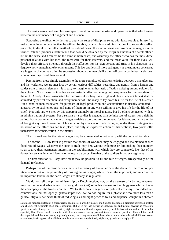The next clearest and simplest example of relation between master and operative is that which exists between the commander of a regiment and his men.

Supposing the officer only desires to apply the rules of discipline so as, with least trouble to himself, to make the regiment most effective, he will not be able, by any rules or administration of rules, on this selfish principle, to develop the full strength of his subordinates. If a man of sense and firmness, he may, as in the former instance, produce a better result than would be obtained by the irregular kindness of a weak officer; but let the sense and firmness be the same in both cases, and assuredly the officer who has the most direct personal relations with his men, the most care for their interests, and the most value for their lives, will develop their effective strength, through their affection for his own person, and trust in his character, to a degree wholly unattainable by other means. This law applies still more stringently as the numbers concerned are larger: a charge may often be successful, though the men dislike their officers; a battle has rarely been won, unless they loved their general.

Passing from these simple examples to the more complicated relations existing between a manufacturer and his workmen, we are met first by certain curious difficulties, resulting, apparently, from a harder and colder state of moral elements. It is easy to imagine an enthusiastic affection existing among soldiers for the colonel. Not so easy to imagine an enthusiastic affection among cotton-spinners for the proprietor of the mill. A body of men associated for purposes of robbery (as a Highland clan in ancient times) shall be animated by perfect affection, and every member of it be ready to lay down his life for the life of his chief. But a band of men associated for purposes of legal production and accumulation is usually animated, it appears, by no such emotions, and none of them are in any wise willing to give his life for the life of his chief. Not only are we met by this apparent anomaly, in moral matters, but by others connected with it, in administration of system. For a servant or a soldier is engaged at a definite rate of wages, for a definite period; but a workman at a rate of wages variable according to the demand for labour, and with the risk of being at any time thrown out of his situation by chances of trade. Now, as, under these contingencies, no action of the affections can take place, but only an explosive action of disaffections, two points offer themselves for consideration in the matter.

The first — How far the rate of wages may be so regulated as not to vary with the demand for labour.

The second — How far it is possible that bodies of workmen may be engaged and maintained at such fixed rate of wages (whatever the state of trade may be), without enlarging or diminishing their number, so as to give them permanent interest in the establishment with which they are connected, like that of the domestic servants in an old family, or an esprit de corps, like that of the soldiers in a crack regiment.

The first question is, I say, how far it may be possible to fix the rate of wages, irrespectively of the demand for labour.

Perhaps one of the most curious facts in the history of human error is the denial by the common political economist of the possibility of thus regulating wages; while, for all the important, and much of the unimportant, labour, on the earth, wages are already so regulated.

We do not sell our prime-ministership by Dutch auction; nor, on the decease of a bishop, whatever may be the general advantages of simony, do we (yet) offer his diocese to the clergyman who will take the episcopacy at the lowest contract. We (with exquisite sagacity of political economy!) do indeed sell commissions; but not openly, generalships: sick, we do not inquire for a physician who takes less than a guinea; litigious, we never think of reducing six-and-eight-pence to four-and-sixpence; caught in a shower,

a dramatic monster, instead of a characteristic example of a worldly master; and Stephen Blackpool a dramatic perfection, instead of a characteristic example of an honest workman. But let us not lose the use of Dickens's wit and insight, because he chooses to speak in a circle of stage fire. He is entirely right in his main drift and purpose in every book he has written; and all of them, but especially Hard Times, should be studied with close and earnest care by persons interested in social questions. They will find much that is partial, and, because partial, apparently unjust; but if they examine all the evidence on the other side, which Dickens seems to overlook, it will appear, after all their trouble, that his view was the finally right one, grossly and sharply told.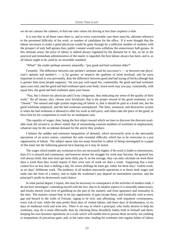we do not canvass the cabmen, to find one who values his driving at less than sixpence a mile.

It is true that in all these cases there is, and in every conceivable case there must be, ultimate reference to the presumed difficulty of the work, or number of candidates for the office. If it were thought that the labour necessary to make a good physician would be gone through by a sufficient number of students with the prospect of only half-guinea fees, public consent would soon withdraw the unnecessary half-guinea. In this ultimate sense, the price of labour is indeed always regulated by the demand for it; but, so far as the practical and immediate administration of the matter is regarded, the best labour always has been, and is, as all labour ought to be, paid by an invariable standard.

"What!" the reader perhaps answers amazedly: "pay good and bad workmen alike?"

Certainly. The difference between one prelate's sermons and his successor's — or between one physician's opinion and another's — is far greater, as respects the qualities of mind involved, and far more important in result to you personally, than the difference between good and bad laying of bricks (though that is greater than most people suppose). Yet you pay with equal fee, contentedly, the good and bad workmen upon your soul, and the good and bad workmen upon your body; much more may you pay, contentedly, with equal fees, the good and bad workmen upon your house.

"Nay, but I choose my physician and (?) my clergyman, thus indicating my sense of the quality of their work." By all means, also, choose your bricklayer; that is the proper reward of the good workman, to be "chosen." The natural and right system respecting all labour is, that it should be paid at a fixed rate, but the good workman employed, and the bad workman unemployed. The false, unnatural, and destructive system is when the bad workman is allowed to offer his work at half-price, and either take the place of the good, or force him by his competition to work for an inadequate sum.

This equality of wages, then, being the first object toward which we have to discover the directest available road; the second is, as above stated, that of maintaining constant numbers of workmen in employment, whatever may be the accidental demand for the article they produce.

I believe the sudden and extensive inequalities of demand, which necessarily arise in the mercantile operations of an active nation, constitute the only essential difficulty which has to be overcome in a just organization of labour. The subject opens into too many branches to admit of being investigated in a paper of this kind; but the following general facts bearing on it may be noted.

The wages which enable any workman to live are necessarily higher, if his work is liable to intermission, than if it is assured and continuous; and however severe the struggle for work may become, the general law will always hold, that men must get more daily pay if, on the average, they can only calculate on work three days a week than they would require if they were sure of work six days a week. Supposing that a man cannot live on less than a shilling a day, his seven shillings he must get, either for three days' violent work, or six days' deliberate work. The tendency of all modern mercantile operations is to throw both wages and trade into the form of a lottery, and to make the workman's pay depend on intermittent exertion, and the principal's profit on dexterously used chance.

In what partial degree, I repeat, this may be necessary in consequence of the activities of modern trade, I do not here investigate; contenting myself with the fact, that in its fatalest aspects it is assuredly unnecessary, and results merely from love of gambling on the part of the masters, and from ignorance and sensuality in the men. The masters cannot bear to let any opportunity of gain escape them, and frantically rush at every gap and breach in the walls of Fortune, raging to be rich, and affronting, with impatient covetousness, every risk of ruin, while the men prefer three days of violent labour, and three days of drunkenness, to six days of moderate work and wise rest. There is no way in which a principal, who really desires to help his workmen, may do it more effectually than by checking these disorderly habits both in himself and them; keeping his own business operations on a scale which will enable him to pursue them securely, not yielding to temptations of precarious gain; and, at the same time, leading his workmen into regular habits of labour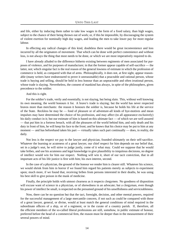and life, either by inducing them rather to take low wages in the form of a fixed salary, than high wages, subject to the chance of their being thrown out of work; or, if this be impossible, by discouraging the system of violent exertion for nominally high day wages, and leading the men to take lower pay for more regular labour.

In effecting any radical changes of this kind, doubtless there would be great inconvenience and loss incurred by all the originators of movement. That which can be done with perfect convenience and without loss, is not always the thing that most needs to be done, or which we are most imperatively required to do.

I have already alluded to the difference hitherto existing between regiments of men associated for purposes of violence, and for purposes of manufacture; in that the former appear capable of self-sacrifice — the latter, not; which singular fact is the real reason of the general lowness of estimate in which the profession of commerce is held, as compared with that of arms. Philosophically, it does not, at first sight, appear reasonable (many writers have endeavoured to prove it unreasonable) that a peaceable and rational person, whose trade is buying and selling, should be held in less honour than an unpeaceable and often irrational person, whose trade is slaying. Nevertheless, the consent of mankind has always, in spite of the philosophers, given precedence to the soldier.

And this is right.

For the soldier's trade, verily and essentially, is not slaying, but being slain. This, without well knowing its own meaning, the world honours it for. A bravo's trade is slaying; but the world has never respected bravos more than merchants: the reason it honours the soldier is, because he holds his life at the service of the State. Reckless he may be — fond of pleasure or of adventure-all kinds of bye-motives and mean impulses may have determined the choice of his profession, and may affect (to all appearance exclusively) his daily conduct in it; but our estimate of him is based on this ultimate fact — of which we are well assured — that put him in a fortress breach, with all the pleasures of the world behind him, and only death and his duty in front of him, he will keep his face to the front; and he knows that his choice may be put to him at any moment — and has beforehand taken his part — virtually takes such part continually — does, in reality, die daily.

Not less is the respect we pay to the lawyer and physician, founded ultimately on their self-sacrifice. Whatever the learning or acuteness of a great lawyer, our chief respect for him depends on our belief that, set in a judge's seat, he will strive to judge justly, come of it what may. Could we suppose that he would take bribes, and use his acuteness and legal knowledge to give plausibility to iniquitous decisions, no degree of intellect would win for him our respect. Nothing will win it, short of our tacit conviction, that in all important acts of his life justice is first with him; his own interest, second.

In the case of a physician, the ground of the honour we render him is clearer still. Whatever his science, we would shrink from him in horror if we found him regard his patients merely as subjects to experiment upon; much more, if we found that, receiving bribes from persons interested in their deaths, he was using his best skill to give poison in the mask of medicine.

Finally, the principle holds with utmost clearness as it respects clergymen. No goodness of disposition will excuse want of science in a physician, or of shrewdness in an advocate; but a clergyman, even though his power of intellect be small, is respected on the presumed ground of his unselfishness and serviceableness.

Now, there can be no question but that the tact, foresight, decision, and other mental powers, required for the successful management of a large mercantile concern, if not such as could be compared with those of a great lawyer, general, or divine, would at least match the general conditions of mind required in the subordinate officers of a ship, or of a regiment, or in the curate of a country parish. If, therefore, all the efficient members of the so-called liberal professions are still, somehow, in public estimate of honour, preferred before the head of a commercial firm, the reason must lie deeper than in the measurement of their several powers of mind.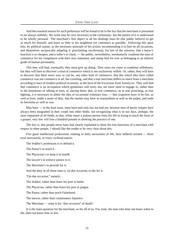#### UNTO THIS LAST

And the essential reason for such preference will he found to lie in the fact that the merchant is presumed to act always selfishly. His work may be very necessary to the community. but the motive of it is understood to be wholly personal. The merchant's first object in all his dealings must be (the public believe) to get as much for himself, and leave as little to his neighbour (or customer) as possible. Enforcing this upon him, by political statute, as the necessary principle of his action; recommending it to him on all occasions, and themselves reciprocally adopting it, proclaiming vociferously, for law of the universe, that a buyer's function is to cheapen, and a seller's to cheat, — the public, nevertheless, involuntarily condemn the man of commerce for his compliance with their own statement, and stamp him for ever as belonging to an inferior grade of human personality.

This they will find, eventually, they must give up doing. They must not cease to condemn selfishness; but they will have to discover a kind of commerce which is not exclusively selfish. Or, rather, they will have to discover that there never was, or can be, any other kind of commerce; that this which they have called commerce was not commerce at all, but cozening; and that a true merchant differs as much from a merchant according to laws of modern political economy, as the hero of the Excursion from Autolycus. They will find that commerce is an occupation which gentlemen will every day see more need to engage in, rather than in the businesses of talking to men, or slaying them; that, in true commerce, as in true preaching, or true fighting, it is necessary to admit the idea of occasional voluntary loss; — that sixpences have to be lost, as well as lives, under a sense of duty. that the market may have its martyrdoms as well as the pulpit; and trade its heroisms as well as war.

May have — in the final issue, must have-and only has not had yet, because men of heroic temper have always been misguided in their youth into other fields; not recognising what is in our days, perhaps, the most important of all fields; so that, while many a jealous person loses his life in trying to teach the form of a gospel, very few will lose a hundred pounds in showing the practice of one.

The fact is, that people never have had clearly explained to them the true functions of a merchant with respect to other people. I should like the reader to be very clear about this.

Five great intellectual professions, relating to daily necessities of life, have hitherto existed — three exist necessarily, in every civilised nation:

The Soldier's profession is to defend it.

The Pastor's to teach it.

The Physician's to keep it in health.

The lawyer's to enforce justice in it.

The Merchant's to provide for it.

And the duty of all these men is, on due occasion, to die for it.

"On due occasion," namely: -

The Soldier, rather than leave his post in battle.

The Physician, rather than leave his post in plague.

The Pastor, rather than teach Falsehood.

The lawyer, rather than countenance Injustice.

The Merchant — what is his "due occasion" of death?

It is the main question for the merchant, as for all of us. For, truly, the man who does not know when to die, does not know how to live.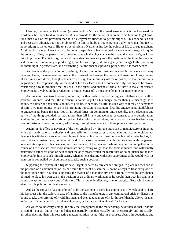Observe, the merchant's function (or manufacturer's, for in the broad sense in which it is here used the word must be understood to include both) is to provide for the nation. It is no more his function to get profit for himself out of that provision than it is a clergyman's function to get his stipend. This stipend is a due and necessary adjunct, but not the object of his life, if he be a true clergyman, any more than his fee (or honorarium) is the object of life to a true physician. Neither is his fee the object of life to a true merchant. All three, if true men, have a work to be done irrespective of fee — to be done even at any cost, or for quite the contrary of fee; the pastor's function being to teach, the physician's to heal, and the merchant's, as I have said, to provide. That is to say, he has to understand to their very root the qualities of the thing he deals in, and the means of obtaining or producing it; and he has to apply all his sagacity and energy to the producing or obtaining it in perfect state, and distributing it at the cheapest possible price where it is most needed.

And because the production or obtaining of any commodity involves necessarily the agency of many lives and hands, the merchant becomes in the course of his business the master and governor of large masses of men in a more direct, though less confessed way, than a military officer or pastor; so that on him falls, in great part, the responsibility for the kind of life they lead: and it becomes his duty, not only to be always considering how to produce what he sells, in the purest and cheapest forms, but how to make the various employments involved in the production, or transference of it, most beneficial to the men employed.

And as into these two functions, requiring for their right exercise the highest intelligence, as well as patience, kindness, and tact, the merchant is bound to put all his energy, so for their just discharge he is bound, as soldier or physician is bound, to give up, if need be, his life, in such way as it may be demanded of him. Two main points he has in his providing function to maintain: first, his engagements (faithfulness to engagements being the real root of all possibilities, in commerce); and, secondly, the perfectness and purity of the thing provided; so that, rather than fail in any engagement, or consent to any deterioration, adulteration, or unjust and exorbitant price of that which he provides, he is bound to meet fearlessly any form of distress, poverty, or labour, which may, through maintenance of these points, come upon him.

Again: in his office as governor of the men employed by him, the merchant or manufacturer is invested with a distinctly paternal authority and responsibility. In most cases, a youth entering a commercial establishment is withdrawn altogether from home influence; his master must become his father, else he has, for practical and constant help, no father at hand: in all cases the master's authority, together with the general tone and atmosphere of his business, and the character of the men with whom the youth is compelled in the course of it to associate, have more immediate and pressing weight than the home influence, and will usually neutralize it either for good or evil; so that the only means which the master has of doing justice to the men employed by him is to ask himself sternly whether he is dealing with such subordinate as he would with his own son, if compelled by circumstances to take such a position.

Supposing the captain of a frigate saw it right, or were by any chance obliged, to place his own son in the position of a common sailor: as he would then treat his son, he is bound always to treat every one of the men under him. So, also, supposing the master of a manufactory saw it right, or were by any chance obliged, to place his own son in the position of an ordinary workman; as he would then treat his son, he is bound always to treat every one of his men. This is the only effective, true, or practical Rule which can be given on this point of political economy.

And as the captain of a ship is bound to be the last man to leave his ship in case of wreck, and to share his last crust with the sailors in case of famine, so the manufacturer, in any commercial crisis or distress, is bound to take the suffering of it with his men, and even to take more of it for himself than he allows his men to feel; as a father would in a famine, shipwreck, or battle, sacrifice himself for his son.

All which sounds very strange: the only real strangeness in the matter being, nevertheless, that it should so sound. For all this is true, and that not partially nor theoretically, but everlastingly and practically: all other doctrine than this respecting matters political being false in premises, absurd in deduction, and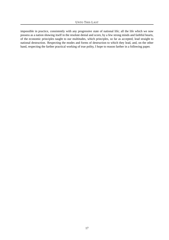impossible in practice, consistently with any progressive state of national life; all the life which we now possess as a nation showing itself in the resolute denial and scorn, by a few strong minds and faithful hearts, of the economic principles taught to our multitudes, which principles, so far as accepted, lead straight to national destruction. Respecting the modes and forms of destruction to which they lead, and, on the other hand, respecting the farther practical working of true polity, I hope to reason farther in a following paper.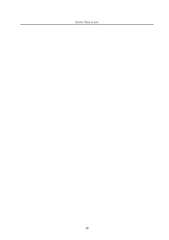UNTO THIS LAST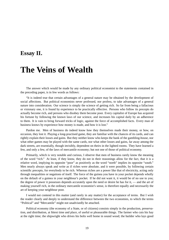#### **Essay II.**

## **The Veins of Wealth**

The answer which would be made by any ordinary political economist to the statements contained in the preceding paper, is in few words as follows:

"It is indeed true that certain advantages of a general nature may be obtained by the development of social affections. But political economists never professed, nor profess, to take advantages of a general nature into consideration. Our science is simply the science of getting rich. So far from being a fallacious or visionary one, it is found by experience to be practically effective. Persons who follow its precepts do actually become rich, and persons who disobey them become poor. Every capitalist of Europe has acquired his fortune by following the known laws of our science, and increases his capital daily by an adherence to them. It is vain to bring forward tricks of logic, against the force of accomplished facts. Every man of business knows by experience how money is made, and how it is lost."

Pardon me. Men of business do indeed know how they themselves made their money, or how, on occasion, they lost it. Playing a long-practised game, they are familiar with the chances of its cards, and can rightly explain their losses and gains. But they neither know who keeps the bank of the gambling-house, nor what other games may be played with the same cards, nor what other losses and gains, far away among the dark streets, are essentially, though invisibly, dependent on theirs in the lighted rooms. They have learned a few, and only a few, of the laws of mercantile economy; but not one of those of political economy.

Primarily, which is very notable and curious, I observe that men of business rarely know the meaning of the word "rich." At least, if they know, they do not in their reasonings allow for the fact, that it is a relative word, implying its opposite "poor" as positively as the word "north" implies its opposite "south." Men nearly always speak and write as if riches were absolute, and it were possible, by following certain scientific precepts, for everybody to be rich. Whereas riches are a power like that of electricity, acting only through inequalities or negations of itself. The force of the guinea you have in your pocket depends wholly on the default of a guinea in your neighbour's pocket. If he did not want it, it would be of no use to you; the degree of power it possesses depends accurately upon the need or desire he has for it, — and the art of making yourself rich, in the ordinary mercantile economist's sense, is therefore equally and necessarily the art of keeping your neighbour poor.

I would not contend in this matter (and rarely in any matter) for the acceptance of terms. But I wish the reader clearly and deeply to understand the difference between the two economies, to which the terms "Political" and "Mercantile" might not unadvisedly be attached.

Political economy (the economy of a State, or of citizens) consists simply in the production, preservation, and distribution, at fittest time and place, of useful or pleasurable things. The farmer who cuts his hay at the right time; the shipwright who drives his bolts well home in sound wood; the builder who lays good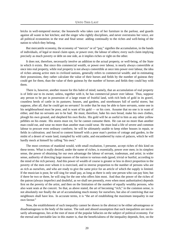bricks in well-tempered mortar; the housewife who takes care of her furniture in the parlour, and guards against all waste in her kitchen; and the singer who rightly disciplines, and never overstrains her voice, are all political economists in the true and final sense: adding continually to the riches and well-being of the nation to which they belong.

But mercantile economy, the economy of "merces" or of "pay," signifies the accumulation, in the hands of individuals, of legal or moral claim upon, or power over, the labour of others; every such claim implying precisely as much poverty or debt on one side, as it implies riches or right on the other.

It does not, therefore, necessarily involve an addition to the actual property, or well-being, of the State in which it exists. But since this commercial wealth, or power over labour, is nearly always convertible at once into real property, while real property is not always convertible at once into power over labour, the idea of riches among active men in civilized nations, generally refers to commercial wealth; and in estimating their possessions, they rather calculate the value of their horses and fields by the number of guineas they could get for them, than the value of their guineas by the number of horses and fields they could buy with them.

There is, however, another reason for this habit of mind; namely, that an accumulation of real property is of little use to its owner, unless, together with it, he has commercial power over labour. Thus, suppose any person to be put in possession of a large estate of fruitful land, with rich beds of gold in its gravel, countless herds of cattle in its pastures; houses, and gardens, and storehouses full of useful stores; but suppose, after all, that he could get no servants? In order that he may be able to have servants, some one in his neighbourhood must be poor, and in want of his gold — or his corn. Assume that no one is in want of either, and that no servants are to be had. He must, therefore, bake his own bread, make his own clothes, plough his own ground, and shepherd his own flocks. His gold will be as useful to him as any other yellow pebbles on his estate. His stores must rot, for he cannot consume them. He can eat no more than another man could eat, and wear no more than another man could wear. He must lead a life of severe and common labour to procure even ordinary comforts; he will be ultimately unable to keep either houses in repair, or fields in cultivation; and forced to content himself with a poor man's portion of cottage and garden, in the midst of a desert of waste land, trampled by wild cattle, and encumbered by ruins of palaces, which he will hardly mock at himself by calling "his own."

The most covetous of mankind would, with small exultation, I presume, accept riches of this kind on these terms. What is really desired, under the name of riches, is essentially, power over men; in its simplest sense, the power of obtaining for our own advantage the labour of servant, tradesman, and artist; in wider sense, authority of directing large masses of the nation to various ends (good, trivial or hurtful, according to the mind of the rich person). And this power of wealth of course is greater or less in direct proportion to the poverty of the men over whom it is exercised, and in inverse proportion to the number of persons who are as rich as ourselves, and who are ready to give the same price for an article of which the supply is limited. If the musician is poor, he will sing for small pay, as long as there is only one person who can pay him; but if there be two or three, he will sing for the one who offers him most. And thus the power of the riches of the patron (always imperfect and doubtful, as we shall see presently, even when most authoritative) depends first on the poverty of the artist, and then on the limitation of the number of equally wealthy persons, who also want seats at the concert. So that, as above stated, the art of becoming "rich," in the common sense, is not absolutely nor finally the art of accumulating much money for ourselves, but also of contriving that our neighbours shall have less. In accurate terms, it is "the art of establishing the maximum inequality in our own favour."

Now, the establishment of such inequality cannot be shown in the abstract to be either advantageous or disadvantageous to the body of the nation. The rash and absurd assumption that such inequalities are necessarily advantageous, lies at the root of most of the popular fallacies on the subject of political economy. For the eternal and inevitable law in this matter is, that the beneficialness of the inequality depends, first, on the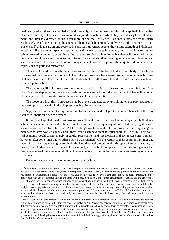methods by which it was accomplished; and, secondly, on the purposes to which it is applied. Inequalities of wealth, unjustly established, have assuredly injured the nation in which they exist during their establishment; and, unjustly directed, injure it yet more during their existence. But inequalities of wealth, justly established, benefit the nation in the course of their establishment; and, nobly used, aid it yet more by their existence. That is to say, among every active and well-governed people, the various strength of individuals, tested by full exertion and specially applied to various need, issues in unequal, but harmonious results, receiving reward or authority according to its class and service<sup>1</sup>; while, in the inactive or ill-governed nation, the gradations of decay and the victories of treason work out also their own rugged system of subjection and success; and substitute, for the melodious inequalities of concurrent power, the iniquitous dominances and depressions of guilt and misfortune.

Thus the circulation of wealth in a nation resembles that of the blood in the natural body. There is one quickness of the current which comes of cheerful emotion or wholesome exercise; and another which comes of shame or of fever. There is a flush of the body which is full of warmth and life; and another which will pass into putrefaction.

The analogy will hold down even to minute particulars. For as diseased local determination of the blood involves depression of the general health of the system, all morbid local action of riches will be found ultimately to involve a weakening of the resources of the body politic.

The mode in which this is produced may be at once understood by examining one or two instances of the development of wealth in the simplest possible circumstances.

Suppose two sailors cast away on an uninhabited coast, and obliged to maintain themselves there by their own labour for a series of years.

If they both kept their health, and worked steadily and in amity with each other, they might build themselves a convenient house, and in time come to possess a certain quantity of cultivated land, together with various stores laid up for future use. All these things would be real riches or property; and, supposing the men both to have worked equally hard, they would each have right to equal share or use of it. Their political economy would consist merely in careful preservation and just division of these possessions. Perhaps, however, after some time one or other might be dissatisfied with the results of their common farming; and they might in consequence agree to divide the land they had brought under the spade into equal shares, so that each might thenceforward work in his own field, and live by it. Suppose that after this arrangement had been made, one of them were to fall ill, and be unable to work on his land at a critical time — say of sowing or harvest.

He would naturally ask the other to sow or reap for him.

<sup>&</sup>lt;sup>1</sup>I have been naturally asked several times, with respect to the sentence in the first of these papers, "the bad workmen unemployed," "But what are you to do with your bad unemployed workmen?" Well, it seems to me the question might have occurred to you before. Your housemaid's place is vacant — you give twenty pounds a year-two girls come for it, one neatly dressed, the other dirtily; one with good recommendations, the other with none. You do not, under these circumstances, usually ask the dirty one if she will come for fifteen pounds, or twelve; and, on her consenting, take her instead of the well-recommended one. Still less do you try to beat both down by making them bid against each other, till you can hire both, one at twelve pounds a year, and the other at eight. You simply take the one fittest for the place, and send away the other, not perhaps concerning yourself quite as much as you should with the question which you now impatiently put to me, "What is to become of her?" For all that I advise you to do, is to deal with workmen as with servants; and verily the question is of weight: "Your bad workman, idler, and rogue — what are you to do with him?"

We will consider of this presently: remember that the administration of a complete system of national commerce and industry cannot be explained in full detail within the space of twelve pages. Meantime, consider whether, there being confessedly some difficulty in dealing with rogues and idlers, it may not be advisable to produce as few of them as possible. If you examine into the history of rogues, you will find they are as truly manufactured articles as anything else, and it is just because our present system of political economy gives so large a stimulus to that manufacture that you may know it to be a false one. We had better seek for a system which will develop honest men, than for one which will deal cunningly with vagabonds. Let us reform our schools, and we shall find little reform needed in our prisons.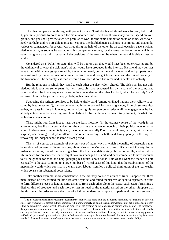Then his companion might say, with perfect justice, "I will do this additional work for you; but if I do it, you must promise to do as much for me at another time. I will count how many hours I spend on your ground, and you shall give me a written promise to work for the same number of hours on mine, whenever I need your help, and you are able to give it." Suppose the disabled man's sickness to continue, and that under various circumstances, for several years, requiring the help of the other, he on each occasion gave a written pledge to work, as soon as he was able, at his companion's orders, for the same number of hours which the other had given up to him. What will the positions of the two men be when the invalid is able to resume work?

Considered as a "Polis," or state, they will be poorer than they would have been otherwise: poorer by the withdrawal of what the sick man's labour would have produced in the interval. His friend may perhaps have toiled with an energy quickened by the enlarged need, but in the end his own land and property must have suffered by the withdrawal of so much of his time and thought from them: and the united property of the two men will be certainly less than it would have been if both had remained in health and activity.

But the relations in which they stand to each other are also widely altered. The sick man has not only pledged his labour for some years, but will probably have exhausted his own share of the accumulated stores, and will be in consequence for some time dependent on the other for food, which he can only "pay" or reward him for by yet more deeply pledging his own labour.

Supposing the written promises to be held entirely valid (among civilized nations their validity is secured by legal measures<sup>2</sup>), the person who had hitherto worked for both might now, if he chose, rest altogether, and pass his time in idleness, not only forcing his companion to redeem all the engagements he had already entered into, but exacting from him pledges for further labour, to an arbitrary amount, for what food he had to advance to him.

There might not, from first to last, be the least illegality (in the ordinary sense of the word) in the arrangement; but if a stranger arrived on the coast at this advanced epoch of their political economy, he would find one man commercially Rich; the other commercially Poor. He would see, perhaps, with no small surprise, one passing his days in idleness; the other labouring for both, and living sparely, in the hope of recovering his independence at some distant period.

This is, of course, an example of one only out of many ways in which inequality of possession may be established between different persons, giving rise to the Mercantile forms of Riches and Poverty. In the instance before us, one of the men might from the first have deliberately chosen to be idle, and to put his life in pawn for present ease; or he might have mismanaged his land, and been compelled to have recourse to his neighbour for food and help, pledging his future labour for it. But what I want the reader to note especially is the fact, common to a large number of typical cases of this kind, that the establishment of the mercantile wealth which consists in a claim upon labour, signifies a political diminution of the real wealth which consists in substantial possessions.

Take another example, more consistent with the ordinary course of affairs of trade. Suppose that three men, instead of two, formed the little isolated republic, and found themselves obliged to separate, in order to farm different pieces of land at some distance from each other along the coast: each estate furnishing a distinct kind of produce, and each more or less in need of the material raised on the other. Suppose that the third man, in order to save the time of all three, undertakes simply to superintend the transference of

 $^{2}$ The disputes which exist respecting the real nature of money arise more from the disputants examining its functions on different sides, than from any real dissent in their opinions. All money, properly so called, is an acknowledgment of debt; but as such, it may either be considered to represent the labour and property of the creditor, or the idleness and penury of the debtor. The intricacy of the question has been much increased by the (hitherto necessary) use of marketable commodities, such as gold, silver, salt, shells, etc., to give intrinsic value or security to currency; but the final and best definition of money is that it is a documentary promise ratified and guaranteed by the nation to give or find a certain quantity of labour on demand. A man's labour for a day is a better standard of value than a measure of any produce, because no produce ever maintains a consistent rate of productibility.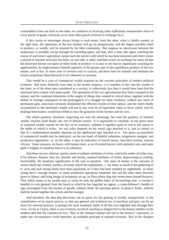commodities from one farm to the other; on condition of receiving some sufficiently remunerative share of every parcel of goods conveyed, or of some other parcel received in exchange for it.

If this carrier or messenger always brings to each estate, from the other, what is chiefly wanted, at the right time, the operations of the two farmers will go on prosperously, and the largest possible result in produce, or wealth, will be attained by the little community. But suppose no intercourse between the landowners is possible, except through the travelling agent; and that, after a time, this agent, watching the course of each man's agriculture, keeps back the articles with which he has been entrusted until there comes a period of extreme necessity for them, on one side or other, and then exacts in exchange for them all that the distressed farmer can spare of other kinds of produce: it is easy to see that by ingeniously watching his opportunities, he might possess himself regularly of the greater part of the superfluous produce of the two estates, and at last, in some year of severest trial or scarcity, purchase both for himself and maintain the former proprietors thenceforward as his labourers or servants.

This would be a case of commercial wealth acquired on the exactest principles of modern political economy. But more distinctly even than in the former instance, it is manifest in this that the wealth of the State, or of the three men considered as a society, is collectively less than it would have been had the merchant been content with juster profit. The operations of the two agriculturists have been cramped to the utmost; and the continual limitations of the supply of things they wanted at critical times, together with the failure of courage consequent on the prolongation of a struggle for mere existence, without any sense of permanent gain, must have seriously diminished the effective results of their labour; and the stores finally accumulated in the merchant's hands will not in any wise be of equivalent value to those which, had his dealings been honest, would have filled at once the granaries of the farmers and his own.

The whole question, therefore, respecting not only the advantage, but even the quantity, of national wealth, resolves itself finally into one of abstract justice. It is impossible to conclude, of any given mass of acquired wealth, merely by the fact of its existence, whether it signifies good or evil to the nation in the midst of which it exists. Its real value depends on the moral sign attached to it, just as sternly as that of a mathematical quantity depends on the algebraical sign attached to it. Any given accumulation of commercial wealth may be indicative, on the one hand, of faithful industries, progressive energies, and productive ingenuities: or, on the other, it may be indicative of mortal luxury, merciless tyranny, ruinous chicane. Some treasures are heavy with human tears, as an ill-stored harvest with untimely rain; and some gold is brighter in sunshine than it is in substance.

And these are not, observe, merely moral or pathetic attributes of riches, which the seeker of riches may, if he chooses, despise; they are, literally and sternly, material attributes of riches, depreciating or exalting, incalculably, the monetary signification of the sum in question. One mass of money is the outcome of action which has created, another, of action which has annihilated, — ten times as much in the gathering of it; such and such strong hands have been paralyzed, as if they had been numbed by nightshade: so many strong men's courage broken, so many productive operations hindered; this and the other false direction given to labour, and lying image of prosperity set up, on Dura plains dug into seven-times-heated furnaces. That which seems to be wealth may in verity be only the gilded index of far-reaching ruin: a wrecker's handful of coin gleaned from the beach to which he has beguiled an argosy; a camp-follower's bundle of rags unwrapped from the breasts of goodly soldiers dead; the purchase-pieces of potter's fields, wherein shall be buried together the citizen and the stranger.

And therefore, the idea that directions can be given for the gaining of wealth, irrespectively of the consideration of its moral sources, or that any general and technical law of purchase and gain can be set down for national practice, is perhaps the most insolently futile of all that ever beguiled men through their vices. So far as I know, there is not in history record of anything so disgraceful to the human intellect as the modern idea that the commercial text, "Buy in the cheapest market and sell in the dearest," represents, or under any circumstances could represent, an available principle of national economy. Buy in the cheapest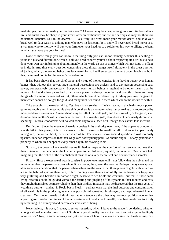market? yes; but what made your market cheap? Charcoal may be cheap among your roof timbers after a fire, and bricks may be cheap in your streets after an earthquake; but fire and earthquake may not therefore he national benefits. Sell in the dearest? — Yes, truly; but what made your market dear? You sold your bread well to-day: was it to a dying man who gave his last coin for it, and will never need bread more; or to a rich man who to-morrow will buy your farm over your head; or to a soldier on his way to pillage the bank in which you have put your fortune?

None of these things you can know. One thing only you can know: namely, whether this dealing of yours is a just and faithful one, which is all you need concern yourself about respecting it; sure thus to have done your own part in bringing about ultimately in the world a state of things which will not issue in pillage or in death. And thus every question concerning these things merges itself ultimately in the great question of justice, which, the ground being thus far cleared for it. I will enter upon the next paper, leaving only, in this, three final points for the reader's consideration.

It has been shown that the chief value and virtue of money consists in its having power over human beings; that, without this power, large material possessions are useless, and to any person possessing such power, comparatively unnecessary. But power over human beings is attainable by other means than by money. As I said a few pages back, the money power is always imperfect and doubtful; there are many things which cannot be reached with it, others which cannot be retained by it. Many joys may be given to men which cannot be bought for gold, and many fidelities found in them which cannot be rewarded with it.

Trite enough, — the reader thinks. Yes: but it is not so trite, — I wish it were, — that in this moral power, quite inscrutable and immeasurable though it be, there is a monetary value just as real as that represented by more ponderous currencies. A man's hand may be full of invisible gold, and the wave of it, or the grasp, shall do more than another's with a shower of bullion. This invisible gold, also, does not necessarily diminish in spending. Political economists will do well some day to take heed of it, though they cannot take measure.

But farther. Since the essence of wealth consists in its authority over men, if the apparent or nominal wealth fail in this power, it fails in essence; in fact, ceases to be wealth at all. It does not appear lately in England, that our authority over men is absolute. The servants show some disposition to rush riotously upstairs, under an impression that their wages are not regularly paid. We should augur ill of any gentleman's property to whom this happened every other day in his drawing-room.

So, also, the power of our wealth seems limited as respects the comfort of the servants, no less than their quietude. The persons in the kitchen appear to be ill-dressed, squalid, half-starved. One cannot help imagining that the riches of the establishment must be of a very theoretical and documentary character.

Finally. Since the essence of wealth consists in power over men, will it not follow that the nobler and the more in number the persons are over whom it has power, the greater the wealth? Perhaps it may even appear, after some consideration, that the persons themselves are the wealth that these pieces of gold with which we are in the habit of guiding them, are, in fact, nothing more than a kind of Byzantine harness or trappings, very glittering and beautiful in barbaric sight, wherewith we bridle the creatures; but that if these same living creatures could be guided without the fretting and jingling of the Byzants in their mouths and ears, they might themselves be more valuable than their bridles. In fact, it may be discovered that the true veins of wealth are purple — and not in Rock, but in Flesh — perhaps even that the final outcome and consummation of all wealth is in the producing as many as possible full-breathed, bright-eyed, and happy-hearted human creatures. Our modern wealth, I think, has rather a tendency the other way; — most political economists appearing to consider multitudes of human creatures not conducive to wealth, or at best conducive to it only by remaining in a dim-eyed and narrow-chested state of being.

Nevertheless, it is open, I repeat, to serious question, which I leave to the reader's pondering, whether, among national manufactures, that of Souls of a good quality may not at last turn out a quite leadingly lucrative one? Nay, in some far-away and yet undreamt-of hour, I can even imagine that England may cast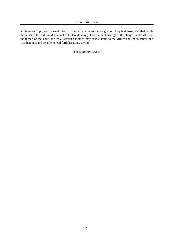all thoughts of possessive wealth back to the barbaric nations among whom they first arose; and that, while the sands of the Indus and adamant of Golconda may yet stiffen the housings of the charger, and flash from the turban of the slave, she, as a Christian mother, may at last attain to the virtues and the treasures of a Heathen one, and be able to lead forth her Sons, saying, —

"These are My Jewels."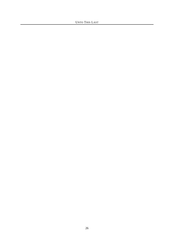UNTO THIS LAST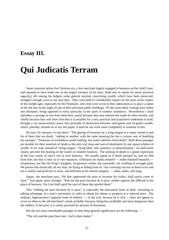#### **Essay III.**

## **Qui Judicatis Terram**

Some centuries before the Christian era, a Jew merchant largely engaged in business on the Gold Coast, and reported to have made one of the largest fortunes of his time, (held also in repute for much practical sagacity,) left among his ledgers some general maxims concerning wealth, which have been preserved, strangely enough, even to our own days. They were held in considerable respect by the most active traders of the middle ages, especially by the Venetians, who even went so far in their admiration as to place a statue of the old Jew on the angle of one of their principal public buildings. Of late years these writings have fallen into disrepute, being opposed in every particular to the spirit of modern commerce. Nevertheless I shall reproduce a passage or two from them here, partly because they may interest the reader by their novelty; and chiefly because they will show him that it is possible for a very practical and acquisitive tradesman to hold, through a not unsuccessful career, that principle of distinction between well-gotten and ill-gotten wealth, which, partially insisted on in my last paper, it must be our work more completely to examine in this.

He says, for instance, in one place: "The getting of treasures by a lying tongue is a vanity tossed to and fro of them that see death: "adding in another, with the same meaning (he has a curious way of doubling his sayings): "Treasures of wickedness profit nothing: but justice delivers from death." Both these passages are notable for their assertion of death as the only real issue and sum of attainment by any unjust scheme of wealth. If we read, instead of "lying tongue," "lying label, title, pretence, or advertisement," we shall more clearly perceive the bearing of the words on modern business. The seeking of death is a grand expression of the true course of men's toil in such business. We usually speak as if death pursued us, and we fled from him; but that is only so in rare instances. Ordinarily he masks himself — makes himself beautiful all-glorious; not like the King's daughter, all-glorious within, but outwardly: his clothing of wrought gold. We pursue him frantically all our days, he flying or hiding from us. Our crowning success at three-score and ten is utterly and perfectly to seize, and hold him in his eternal integrity — robes, ashes, and sting.

Again: the merchant says, "He that oppresseth the poor to increase his riches, shall surely come to want." And again, more strongly: "Rob not the poor because he is poor; neither oppress the afflicted in the place of business. For God shall spoil the soul of those that spoiled them."

This "robbing the poor because he is poor," is especially the mercantile form of theft, consisting in talking advantage of a man's necessities in order to obtain his labour or property at a reduced price. The ordinary highwayman's opposite form of robbery — of the rich, because he is rich — does not appear to occur so often to the old merchant's mind; probably because, being less profitable and more dangerous than the robbery of the poor, it is rarely practised by persons of discretion.

But the two most remarkable passages in their deep general significance are the following: —

"The rich and the poor have met. God is their maker."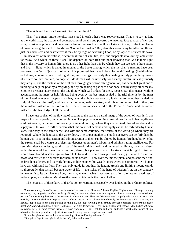"The rich and the poor have met. God is their light."

They "have met:" more literally, have stood in each other's way (obviaverunt). That is to say, as long as the world lasts, the action and counteraction of wealth and poverty, the meeting, face to face, of rich and poor, is just as appointed and necessary a law of that world as the flow of stream to sea, or the interchange of power among the electric clouds: — "God is their maker." But, also, this action may be either gentle and just, or convulsive and destructive: it may be by rage of devouring flood, or by lapse of serviceable wave; — in blackness of thunderstroke, or continual force of vital fire, soft, and shapeable into love-syllables from far away. And which of these it shall be depends on both rich and poor knowing that God is their light; that in the mystery of human life, there is no other light than this by which they can see each other's faces, and live; — light, which is called in another of the books among which the merchant's maxims have been preserved, the "sun of justice,"<sup>1</sup> of which it is promised that it shall rise at last with "healing" (health-giving or helping, making whole or setting at one) in its wings. For truly this healing is only possible by means of justice; no love, no faith, no hope will do it; men will be unwisely fond-vainly faithful, unless primarily they are just; and the mistake of the best men through generation after generation, has been that great one of thinking to help the poor by almsgiving, and by preaching of patience or of hope, and by every other means, emollient or consolatory, except the one thing which God orders for them, justice. But this justice, with its accompanying holiness or helpfulness, being even by the best men denied in its trial time, is by the mass of men hated wherever it appears: so that, when the choice was one day fairly put to them, they denied the Helpful One and the Just<sup>2</sup>; and desired a murderer, sedition-raiser, and robber, to be gran ted to them;  $$ the murderer instead of the Lord of Life, the sedition-raiser instead of the Prince of Peace, and the robber instead of the Just Judge of all the world.

I have just spoken of the flowing of streams to the sea as a partial image of the action of wealth. In one respect it is not a partial, but a perfect image. The popular economist thinks himself wise in having discovered that wealth, or the forms of property in general, must go where they are required; that where demand is, supply must follow. He farther declares that this course of demand and supply cannot be forbidden by human laws. Precisely in the same sense, and with the same certainty, the waters of the world go where they are required. Where the land falls, the water flows. The course neither of clouds nor rivers can be forbidden by human will. But the disposition and administration of them can be altered by human forethought. Whether the stream shall be a curse or a blessing, depends upon man's labour, and administrating intelligence. For centuries after centuries, great districts of the world, rich in soil, and favoured in climate, have lain desert under the rage of their own rivers; nor only desert, but plague-struck. The stream which, rightly directed, would have flowed in soft irrigation from field to field — would have purified the air, given food to man and beast, and carried their burdens for them on its bosom — now overwhelms the plain, and poisons the wind; its breath pestilence, and its work famine. In like manner this wealth "goes where it is required." No human laws can withstand its flow. They can only guide it: but this, the lending trench and limiting mound can do so thoroughly, that it shall become water of life — the riches of the hand of wisdom<sup>3</sup>; or, on the contrary, by leaving it to its own lawless flow, they may make it, what it has been too often, the last and deadliest of national plagues: water of Marah — the water which feeds the roots of all evil.

The necessity of these laws of distribution or restraint is curiously over-looked in the ordinary political

<sup>&</sup>lt;sup>1</sup>More accurately, Sun of Justness; but, instead of the harsh word "Justness," the old English "Righteousness" being commonly employed, has, by getting confused with "godliness," or attracting about it various vague and broken meanings. prevented most persons from receiving the force of the passages in which it occurs. The word "righteousness" properly refers to the justice of rule, or right, as distinguished from "equity," which refers to the justice of balance. More broadly, Righteousness is King's justice; and Equity, Judge's justice; the King guiding or ruling all, the Judge dividing or discerning between opposites (therefore the double question, "Man, who made me a ruler — dikastes — or a dividermeristes — over you?") Thus, with respect to the Justice of Choice (selection, the feebler and passive justice), we have from lego, — lex, legal, loi, and loyal; and with respect to the Justice of Rule (direction, the stronger and active justice), we have from rego, — rex, regal, roi, and royal.

 $2$ In another place written with the same meaning, "Just, and having salvation."

<sup>&</sup>lt;sup>3</sup>"Length of days in her right hand; in her left, riches and honour."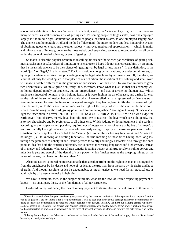economist's definition of his own "science." He calls it, shortly, the "science of getting rich." But there are many sciences, as well as many arts, of getting rich. Poisoning people of large estates, was one employed largely in the middle ages; adulteration of food of people of small estates, is one employed largely now. The ancient and honourable Highland method of blackmail; the more modern and less honourable system of obtaining goods on credit, and the other variously improved methods of appropriation — which, in major and minor scales of industry, down to the most artistic pocket-picking, we owe to recent genius, — all come under the general head of sciences, or arts, of getting rich.

So that it is clear the popular economist, in calling his science the science par excellence of getting rich, must attach some peculiar ideas of limitation to its character. I hope I do not misrepresent him, by assuming that he means his science to be the science of "getting rich by legal or just means." In this definition, is the word "just," or "legal," finally to stand? For it is possible among certain nations, or under certain rulers, or by help of certain advocates, that proceedings may be legal which are by no means just. If, therefore, we leave at last only the word "just" in that place of our definition, the insertion of this solitary and small word will make a notable difference in the grammar of our science. For then it will follow that, in order to grow rich scientifically, we must grow rich justly; and, therefore, know what is just; so that our economy will no longer depend merely on prudence, but on jurisprudence — and that of divine, not human law. Which prudence is indeed of no mean order, holding itself, as it were, high in the air of heaven, and gazing for ever on the light of the sun of justice; hence the souls which have excelled in it are represented by Dante as stars, forming in heaven for ever the figure of the eye of an eagle: they having been in life the discerners of light from darkness; or to the whole human race, as the light of the body, which is the eye; while those souls which form the wings of the bird (giving power and dominion to justice, "healing in its wings") trace also in light the inscription in heaven: "DILIGITE JUSTITIAM QUI JUDICATIS TERRAM." "Ye who judge the earth, give" (not, observe, merely love, but) "diligent love to justice:" the love which seeks diligently, that is to say, choosingly, and by preference, to all things else. Which judging or doing judgment in the earth is, according to their capacity and position, required not of judges only, nor of rulers only, but of all men<sup>4</sup>: a truth sorrowfully lost sight of even by those who are ready enough to apply to themselves passages in which Christian men are spoken of as called to be "saints" (i.e. to helpful or healing functions); and "chosen to be kings" (i.e. to knowing or directing functions); the true meaning of these titles having been long lost through the pretences of unhelpful and unable persons to saintly and kingly character; also through the once popular idea that both the sanctity and royalty are to consist in wearing long robes and high crowns, instead of in mercy and judgment; whereas all true sanctity is saving power, as all true royalty is ruling power; and injustice is part and parcel of the denial of such power, which "makes men as the creeping things, as the fishes of the sea, that have no ruler over them."<sup>5</sup>

Absolute justice is indeed no more attainable than absolute truth; but the righteous man is distinguished from the unrighteous by his desire and hope of justice, as the true man from the false by his desire and hope of truth. And though absolute justice be unattainable, as much justice as we need for all practical use is attainable by all those who make it their aim.

We have to examine, then, in the subject before us, what are the laws of justice respecting payment of labour — no small part, these, of the foundations of all jurisprudence.

I reduced, in my last paper, the idea of money payment to its simplest or radical terms. In those terms

<sup>&</sup>lt;sup>4</sup>I hear that several of our lawyers have been greatly amused by the statement in the first of these papers that a lawyer's function was to do justice. I did not intend it for a jest; nevertheless it will be seen that in the above passage neither the determination nor doing of justice are contemplated as functions wholly peculiar to the lawyer. Possibly, the more our standing armies, whether of soldiers, pastors, or legislators (the generic term "pastor" including all teachers, and the generic term "lawyer" including makers as well as interpreters of law), can be superseded by the force of national heroism, wisdom, and honesty, the better it may be for the nation.

 ${}^{5}$ It being the privilege of the fishes, as it is of rats and wolves, to live by the laws of demand and supply; but the distinction of humanity, to live by those of right.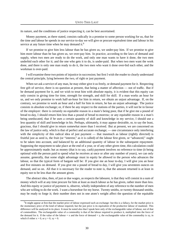its nature, and the conditions of justice respecting it, can be best ascertained.

Money payment, as there stated, consists radically in a promise to some person working for us, that for the time and labour he spends in our service to-day we will give or procure equivalent time and labour in his service at any future time when he may demand it.<sup>6</sup>

If we promise to give him less labour than he has given us, we under-pay him. If we promise to give him more labour than he has given us, we over-pay him. In practice, according to the laws of demand and supply, when two men are ready to do the work, and only one man wants to have it done, the two men underbid each other for it; and the one who gets it to do, is under-paid. But when two men want the work done, and there is only one man ready to do it, the two men who want it done over-bid each other, and the workman is over-paid.

I will examine these two points of injustice in succession; but first I wish the reader to clearly understand the central principle, lying between the two, of right or just payment.

When we ask a service of any man, he may either give it us freely, or demand payment for it. Respecting free gift of service, there is no question at present, that being a matter of affection — not of traffic. But if he demand payment for it, and we wish to treat him with absolute equity, it is evident that this equity can only consist in giving time for time, strength for strength, and skill for skill. If a man works an hour for us, and we only promise to work half-an-hour for him in return, we obtain an unjust advantage. If, on the contrary, we promise to work an hour and a half for him in return, he has an unjust advantage. The justice consists in absolute exchange; or, if there be any respect to the stations of the parties, it will not be in favour of the employer: there is certainly no equitable reason in a main's being poor, that if he give me a pound of bread to-day, I should return him less than a pound of bread to-morrow; or any equitable reason in a man's being uneducated, that if he uses a certain quantity of skill and knowledge in my service, I should use a less quantity of skill and knowledge in his. Perhaps, ultimately, it may appear desirable, or, to say the least, gracious, that I should give in return somewhat more than I received. But at present, we are concerned on the law of justice only, which is that of perfect and accurate exchange; — one circumstance only interfering with the simplicity of this radical idea of just payment — that inasmuch as labour (rightly directed) is fruitful just as seed is, the fruit (or "interest," as it is called) of the labour first given, or "advanced," ought to be taken into account, and balanced by an additional quantity of labour in the subsequent repayment. Supposing the repayment to take place at the end of a year, or of any other given time, this calculation could be approximately made; but as money (that is to say, cash) payment involves no reference to time (it being optional with the person paid to spend what he receives at once or after any number of years), we can only assume, generally, that some slight advantage must in equity be allowed to the person who advances the labour, so that the typical form of bargain will be: If you give me an hour to-day, I will give you an hour and five minutes on demand. If you give me a pound of bread to day, I will give you seventeen ounces on demand, and so on. All that it is necessary for the reader to note is, that the amount returned is at least in equity not to be less than the amount given.

The abstract idea, then, of just or due wages, as respects the labourer, is that they will consist in a sum of money which will at any time procure for him at least as much labour as he has given, rather more than less. And this equity or justice of payment is, observe, wholly independent of any reference to the number of men who are willing to do the work. I want a horseshoe for my horse. Twenty smiths, or twenty thousand smiths, may be ready to forge it; their number does not in one atom's weight affect the question of the equitable

<sup>&</sup>lt;sup>6</sup>It might appear at first that the market price of labour expressed such an exchange: but this is a fallacy, for the market price is the momentary price of the kind of labour required, but the just price is its equivalent of the productive labour of mankind. This difference will be analyzed in its place. It must be noted also that I speak here only of the exchangeable value of labour, not of that of commodities. The exchangeable value of a commodity is that of the labour required to produce it, multiplied into the force of the demand for it. If the value of the labour  $= x$  and the force of demand  $= y$ , the exchangeable value of the commodity is xy, in which if either  $x = 0$ , or  $y = 0$ ,  $xy = 0$ .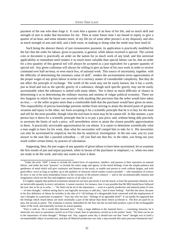payment of the one who does forge it. It costs him a quarter of an hour of his life, and so much skill and strength of arm to make that horseshoe for me. Then at some future time I am bound in equity to give a quarter of an hour, and some minutes more, of my life (or of some other person's at my disposal), and also as much strength of arm and skill, and a little more, in making or doing what the smith may have need of.

Such being the abstract theory of just remunerative payment, its application is practically modified by the fact that the order for labour, given in payment, is general, while labour received is special. The current coin or document is practically an order on the nation for so much work of any kind; and this universal applicability to immediate need renders it so much more valuable than special labour can be, that an order for a less quantity of this general toil will always be accepted as a just equivalent for a greater quantity of special toil. Any given craftsman will always be willing to give an hour of his own work in order to receive command over half-an-hour, or even much less, of national work. This source of uncertainty, together. with the difficulty of determining the monetary value of skill<sup>7</sup>, renders the ascertainment (even approximate) of the proper wages of any given labour in terms of a currency matter of considerable complexity. But they do not affect the principle of exchange. The worth of the work may not be easily known; but it has a worth, just as fixed and real as the specific gravity of a substance, though such specific gravity may not be easily ascertainable when the substance is united with many others. Nor is there so much difficulty or chance in determining it as in determining the ordinary maxima and minima of vulgar political economy. There are few bargains in which the buyer can ascertain with anything like precision that the seller would have taken no less; — or the seller acquire more than a comfortable faith that the purchaser would have given no more. This impossibility of precise knowledge prevents neither from striving to attain the desired point of greatest vexation and injury to the other, nor from accepting it for a scientific principle that he is to buy for the least and sell for the most possible, though what the real least or most may be he cannot tell. In like manner, a just person lays it down for a scientific principle that he is to pay a just price, and, without being able precisely to ascertain the limits of such a price, will nevertheless strive to attain the closest possible approximation to them. A practically serviceable approximation he can obtain. It is easier to determine scientifically what a man ought to have for his work, than what his necessities will compel him to take for it. His necessities can only be ascertained by empirical, but his due by analytical, investigation. In the one case, you try your answer to the sum like a puzzled schoolboy — till you find one that fits; in the other, you bring out your result within certain limits, by process of calculation.

Supposing, then, the just wages of any quantity of given labour to have been ascertained, let us examine the first results of just and unjust payment, when in favour of the purchaser or employer; i.e. when two men are ready to do the work, and only one wants to have it done.

 $7$ Under the term "skill" I mean to include the united force of experience, intellect, and passion in their operation on manual labour: and under the term "passion," to include the entire range and agency of the moral feelings; from the simple patience and gentleness of mind which will give continuity and fineness to the touch, or enable one person to work without fatigue, and with good effect, twice as long as another, up to the qualities of character which renders science possible — (the retardation of science by envy is one of the most tremendous losses in the economy of the present century) — and to the incommunicable emotion and imagination which are the first and mightiest sources of all value in art.

It is highly singular that political economists should not yet have perceived, if not the moral, at least the passionate element, to be an inextricable quantity in every calculation. I cannot conceive, for instance, how it was possible that Mr Mill should have followed the true clue so far as to write, — "No limit can be set to the importance — even in a purely productive and material point of view — of mere thought," without seeing that it was logically necessary to add also, "and of mere feeling." And this the more, because in his first definition of labour he includes in the idea of it "all feelings of a disagreeable kind connected with the employment of one's thoughts in a particular occupation." True; but why not also, "feelings of an agreeable kind?" It can hardly be supposed that the feelings which retard labour are more essentially a part of the labour than those which accelerate it. The first are paid for as pain, the second as power. The workman is merely indemified for the first; but the second both produce a part of the exchangeable value of the work, and materially increase its actual quantity.

<sup>&</sup>quot;Fritz is with us. He is worth fifty thousand men." Truly, a large addition to the material force; — consisting, however, be it observed, not more in operations carried on in Fritz's head, than in operations carried on in his armies' heart. "No limit can be set to the importance of mere thought." Perhaps not! Nay, suppose some day it should turn out that "mere" thought was in itself a recommendable object of production, and that all Material production was only a step towards this more precious Immaterial one?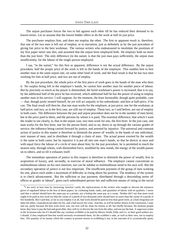The unjust purchaser forces the two to bid against each other till he has reduced their demand to its lowest terms. Let us assume that the lowest bidder offers to do the work at half its just price.

The purchaser employs him, and does not employ the other. The first or apparent result is, therefore, that one of the two men is left out of employ, or to starvation, just as definitely as by the just procedure of giving fair price to the best workman. The various writers who endeavoured to invalidate the positions of my first paper never saw this, and assumed that the unjust hirer employed both. He employs both no more than the just hirer. The only difference (in the outset, is that the just man pays sufficiently, the unjust man insufficiently, for the labour of the single person employed.

I say, "in the outset;" for this first or apparent, difference is not the actual difference. By the unjust procedure, half the proper price of the work is left in the hands of the employer. This enables him to hire another man at the same unjust rate, on some other kind of work; and the final result is that he has two men working for him at half price, and two are out of employ.

By the just procedure, the whole price of the first piece of work goes in the hands of the man who does it. No surplus being left in the employer's hands, he cannot hire another man for another piece of labour. But by precisely so much as his power is diminished, the hired workman's power is increased; that is to say, by the additional half of the price he has received; which additional half he has the power of using to employ another man in his service. I will suppose, for the moment, the least favourable, though quite probable, case — that, though justly treated himself, he yet will act unjustly to his subordinate; and hire at half-price, if he can. The final result will then be, that one man works for the employer, at just price; one for the workman, at half-price; and two, as in the first case, are still out of employ. These two, as I said before, are out of employ in both cases. The difference between the just and unjust procedure does not lie in the number of men hired, but in the price paid to them, and the persons by whom it is paid. The essential difference, that which I want the reader to see clearly, is, that in the unjust case, two men work for one, the first hirer. In the just case, one man works for the first hirer, one for the person hired, and so on, down or up through the various grades of service; the influence being carried forward by justice, and arrested by injustice. The universal and constant action of justice in this matter is therefore to diminish the power oF wealth, in the hands of one individual, over masses of men, and to distribute it through a chain of men. The actual power exerted by the wealth is the same in both cases; but by injustice it is put all into one man's hands, so that he directs at once and with equal force the labour of a circle of men about him; by the just procedure, he is permitted to touch the nearest only, through whom, with diminished force, modified by new minds, the energy of the wealth passes on to others, and so till it exhausts itself.

The immediate operation of justice in this respect is therefore to diminish the power of wealth, first in acquisition of luxury, and, secondly, in exercise of moral influence. The employer cannot concentrate so multitudinous labour on his own interests, nor can he subdue so multitudinous mind to his own will. But the secondary operation of justice is not less important. The insufficient payment of the group of men working for one, places each under a maximum of difficulty in rising above his position. The tendency of the system is to check advancement. But the sufficient or just payment, distributed through a descending series oF offices or grades or labour<sup>8</sup>, gives each subordinated person fair and sufficient means of rising in the social

<sup>&</sup>lt;sup>8</sup>I am sorry to lose time by answering, however curtly, the equivocations of the writers who sought to obscure the instances given of regulated labour in the first of these papers, by confusing kinds, ranks, and quantities of labour with its qualities. I never said that a colonel should have the same pay as a private, nor a bishop the same pay as a curate. Neither did I say that more work ought to be paid as less work (so that the curate of a parish of two thousand souls should have no more than the curate of a parish of five hundred). But I said that, so far as you employ it at all, bad work should be paid no less than good work; as a bad clergyman yet takes his tithes, a bad physician takes bis fee, and a bad lawyer his costs. And this, as will be farther shown in the conclusion, I said, and say, partly because the best work never was, nor ever will be, done for money at all; but chiefly because, the moment people know they have to pay the bad and good alike, they will try to discern the one from the other, and not use the bad. A sagacious writer in the Scotsman asks me if I should like any common scribbler to be paid by Messrs Smith, Elder and Co. as their good authors are. I should, if they employed him-but would seriously recommend them, for the scribbler's sake, as well as their own, not to employ him. The quantity of its money which the country at present invests in scribbling is not, in the outcome of it, economically spent;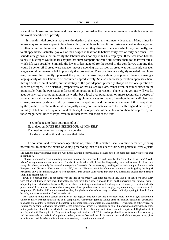scale, if he chooses to use them; and thus not only diminishes the immediate power of wealth, but removes the worst disabilities of poverty.

It is on this vital problem that the entire destiny of the labourer is ultimately dependent. Many minor interests may sometimes appear to interfere with it, but all branch from it. For instance, considerable agitation is often caused in the minds of the lower classes when they discover the share which they nominally, and to all appearance, actually, pay out of their wages in taxation (I believe thirty-five or forty per cent). This sounds very grievous; but in reality the labourer does not pay it, but his employer. If the workman had not to pay it, his wages would be less by just that sum: competition would still reduce them to the lowest rate at which life was possible. Similarly the lower orders agitated for the repeal of the corn laws<sup>9</sup>, thinking they would be better off if bread were cheaper; never perceiving that as soon as bread was permanently cheaper, wages would permanently fall in precisely that proportion. The corn laws were rightly repealed; not, however, because they directly oppressed the poor, but because they indirectly oppressed them in causing a large quantity of their labour to be consumed unproductively. So also unnecessary taxation oppresses them, through destruction of capital, but the destiny of the poor depends primarily always on this one question of dueness of wages. Their distress (irrespectively of that caused by sloth, minor error, or crime) arises on the grand scale from the two reacting forces of competition and oppression. There is not yet, nor will yet for ages be, any real over-population in the world; but a local over-population, or, more accurately, a degree of population locally unmanageable under existing circumstances for want of forethought and sufficient machinery, necessarily shows itself by pressure of competition; and the taking advantage of this competition by the purchaser to obtain their labour unjustly cheap, consummates at once their suffering and his own; for in this (as I believe in every other kind of slavery) the oppressor suffers at last more than the oppressed, and those magnificent lines of Pope, even in all their force, fall short of the truth —

"Yet, to be just to these poor men of pelf, Each does but HATE HIS NEIGHBOUR AS HIMSELF: Damned to the mines, an equal fate betides The slave that digs it, and the slave that hides."

The collateral and reversionary operations of justice in this matter I shall examine hereafter (it being needful first to define the nature of value); proceeding then to consider within what practical terms a juster

and even the highly ingenious person to whom this question occurred, might perhaps have been more beneficially employed than in printing it.

<sup>&</sup>lt;sup>9</sup>I have to acknowledge an interesting communication on the subject of free trade from Paisley (for a short letter from "A Wellwisher" at my thanks are yet more due). But the Scottish writer will, I fear, be disagreeably surprised to hear, that I am, and always have been, an utterly fearless and unscrupulous free-trader. Seven years ago, speaking of the various signs of infancy in the European mind (Stones of Venice, vol. iii. p. 168), I wrote: "The first principles of commerce were acknowledged by the English parliament only a few months ago, in its free-trade measures, and are still so little understood by the million, that no nation dares to abolish its custom-houses."

It will be observed that I do not admit even the idea of reciprocity. Let other nations, if they like, keep their ports shut; every wise nation will throw its own open. It is not the opening them, but a sudden, inconsiderate, and blunderingly experimental manner of opening them, which does the harm. If you have been protecting a manufacture for a long series of years, you must not take the protection off in a moment, so as to throw every one of its operatives at once out of employ, any more than you must take all its wrappings off a feeble child at once in cold weather, though the cumber of them may have been radically injuring its health. Little by little, you must restore it to freedom and to air.

Most people's minds are in curious confusion on the subject of free trade, because they suppose it to imply enlarged competition. On the contrary, free trade puts an end to all competition. "Protection" (among various other mischievous functions,) endeavours to enable one country to compete with another in the production of an article at a disadvantage. When trade is entirely free, no country can be competed with in the articles for the production of which it is naturally calculated; nor can it compete with any other, in the production of articles for which it is not naturally calculated. Tuscany, for instance, cannot compete with England in steel, nor England with Tuscany in oil. They must exchange their steel and oil. Which exchange should be as frank and free as honesty and the sea-winds can make it. Competition, indeed, arises at first, and sharply, in order to prove which is strongest in any given manufacture possible to both; this point once ascertained, competition is at an end.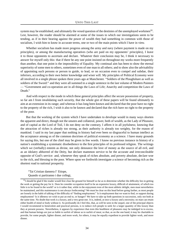system may be established; and ultimately the vexed question of the destinies of the unemployed workmen<sup>10</sup>. Lest, however, the reader should be alarmed at some of the issues to which our investigations seem to be tending, as if in their bearing against the power of wealth they had something in common with those of socialism, I wish him to know in accurate terms, one or two of the main points which I have in view.

Whether socialism has made more progress among the army and navy (where payment is made on my principles), or among the manufacturing operatives (who are paid on my opponents' principles), I leave it to those opponents to ascertain and declare. Whatever their conclusion may be, I think it necessary to answer for myself only this: that if there be any one point insisted on throughout my works more frequently than another, that one point is the impossibility of Equality. My continual aim has been to show the eternal superiority of some men to others, sometimes even of one man to all others; and to show also the advisability of appointing such persons or person to guide, to lead, or on occasion even to compel and subdue, their inferiors, according to their own better knowledge and wiser will. My principles of Political Economy were all involved in a single phrase spoken three years ago at Manchester. "Soldiers of the Ploughshare as well as soldiers of the Sword:" and they were all summed in a single sentence in the last volume of Modern Painters — "Government and co-operation are in all things the Laws of Life; Anarchy and competition the Laws of Death."

And with respect to the mode in which these general principles affect the secure possession of property, so far am I from invalidating such security, that the whole gist of these papers will be found ultimately to aim at an extension in its range; and whereas it has long been known and declared that the poor have no right to the property of the rich, I wish it also to be known and declared that the rich have no right to the property of the poor.

But that the working of the system which I have undertaken to develope would in many ways shorten the apparent and direct, though not the unseen and collateral, power, both of wealth, as the Lady of Pleasure, and of capital as the Lord of Toil, I do not deny on the contrary, I affirm it in all joyfulness; knowing that the attraction of riches is already too strong, as their authority is already too weighty, for the reason of mankind. I said in my last paper that nothing in history had ever been so disgraceful to human intellect as the acceptance among us of the common doctrines of political economy as a science. I have many grounds for saying this, but one of the chief may be given in few words. I know no previous instance in history of a nation's establishing a systematic disobedience to the first principles of its professed religion. The writings which we (verbally) esteem as divine, not only denounce the love of money as the source of all evil, and as an idolatry abhorred of the Deity, but declare mammon service to be the accurate and irreconcileable opposite of God's service: and, whenever they speak of riches absolute, and poverty absolute, declare woe to the rich, and blessing to the poor. Where upon we forthwith investigate a science of becoming rich as the shortest road to national prosperity.

"Tai Cristian dannera l' Etiope, Quando si partiranno i due collegi,

 $^{10}$ I should be glad if the reader would first clear the ground for himself so far as to determine whether the difficulty lies in getting the work or getting the pay for it. Does he consider occupation itself to be an expensive luxury, difficult of attainment, of which too little is to be found in the world? or is it rather that, while in the enjoyment even of the most athletic delight, men must nevertheless be maintained, and this maintenance is not always forthcoming? We must be clear on this head before going farther, as most people are loosely in the habit of talking of the difficulty of "finding employment." Is it employment that we want to find, or support during employment? Is it idleness we wish to put an end to, or hunger? We have to take up both questions in succession, only not both at the same time. No doubt that work is a luxury, and a very great one. It is, indeed, at once a luxury and a necessity; no man can retain either health of mind or body without it. So profoundly do I feel this, that, as will be seen in the sequel, one of the principal objects I would recommend to benevolent and practical persons, is to induce rich people to seek for a larger quantity of this luxury than they at present possess. Nevertheless, it appears by experience that even this healthiest of pleasures may be indulged in to excess, and that human beings are just as liable to surfeit of labour as to surfeit of meat; so that, as on the one hand, it may be charitable to provide, for some people, lighter dinner, and more work, for others, it may be equally expedient to provide lighter work, and more dinner.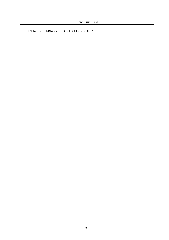L'UNO IN ETERNO RICCO, E L'ALTRO INOPE."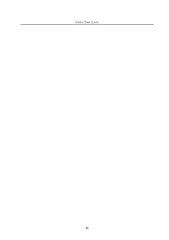UNTO THIS LAST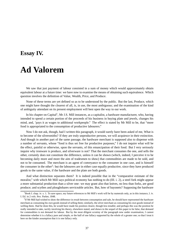#### **Essay IV.**

## **Ad Valorem**

We saw that just payment of labour consisted in a sum of money which would approximately obtain equivalent labour at a future time: we have now to examine the means of obtaining such equivalence. Which question involves the definition of Value, Wealth, Price, and Produce.

None of these terms are yet defined so as to be understood by the public. But the last, Produce, which one might have thought the clearest of all, is, in use, the most ambiguous; and the examination of the kind of ambiguity attendant on its present employment will best open the way to our work.

In his chapter on Capital<sup>1</sup>, Mr J.S. Mill instances, as a capitalist, a hardware manufacturer, who, having intended to spend a certain portion of the proceeds of his business in buying plate and jewels, changes his mind, and, 'pays it as wages to additional workpeople." The effect is stated by Mr Mill to be, that "more food is appropriated to the consumption of productive labourers."

Now I do not ask, though, had I written this paragraph, it would surely have been asked of me, What is to become of the silversmiths? If they are truly unproductive persons, we will acquiesce in their extinction. And though in another part of the same passage, the hardware merchant is supposed also to dispense with a number of servants, whose "food is thus set free for productive purposes," I do not inquire what will be the effect, painful or otherwise, upon the servants, of this emancipation of their food. But I very seriously inquire why ironware is produce, and silverware is not? That the merchant consumes the one, and sells the other, certainly does not constitute the difference, unless it can be shown (which, indeed, I perceive it to be becoming daily more and more the aim of tradesmen to show) that commodities are made to be sold, and not to be consumed. The merchant is an agent of conveyance to the consumer in one case, and is himself the consumer in the other<sup>2</sup>: but the labourers are in either case equally productive, since they have produced goods to the same value, if the hardware and the plate are both goods.

And what distinction separates them? It is indeed possible that in the "comparative estimate of the moralist," with which Mr Mill says political economy has nothing to do (III. i. 2), a steel fork might appear a more substantial production than a silver one: we may grant also that knives, no less than forks, are good produce; and scythes and ploughshares serviceable articles. But, how of bayonets? Supposing the hardware

 $1B$ ook I. chap. iv. s. 1. To save space, my future references to Mr Mill's work will be by numerals only, as in this instance, I. iv. I. Ed. in 2 vols. 8vo. Parker, 1848.

<sup>&</sup>lt;sup>2</sup>If Mr Mill had wished to show the difference in result between consumption and sale, he should have represented the hardware merchant as consuming his own goods instead of selling them; similarly, the silver merchant as consuming his own goods instead of welling them. Had he done this, he would have made his position clearer, though less tenable; and perhaps this was the position he really intended to take, tacitly involving his theory, elsewhere stated, and shown in the sequel of this paper to be false, that demand for commodities is not demand for labour. But by the most diligent scrutiny of the paragraph now under examination, I cannot determine whether it is a fallacy pure and simple, or the half of one fallacy supported by the whole of a greater one; so that I treat it here on the kinder assumption that it is one fallacy only.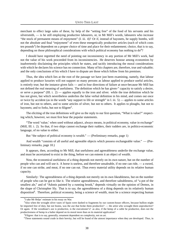merchant to effect large sales of these, by help of the "setting free" of the food of his servants and his silversmith, — is he still employing productive labourers, or, in Mr Mill's words, labourers who increase "the stock of permanent means of enjoyment" (I. iii. 4)? Or if, instead of bayonets, he supply bombs, will not the absolute and final "enjoyment" of even these energetically productive articles (each of which costs ten pounds<sup>3</sup>) be dependent on a proper choice of time and place for their enfantement; choice, that is to say, depending on those philosophical considerations with which political economy has nothing to  $d\sigma^4$ ?

I should have regretted the need of pointing out inconsistency in any portion of Mr Mill's work, had not the value of his work proceeded from its inconsistencies. He deserves honour among economists by inadvertently disclaiming the principles which he states, and tacitly introducing the moral considerations with which he declares his science has no connection. Many of his chapters are, therefore, true and valuable; and the only conclusions of his which I have to dispute are those which follow from his premises.

Thus, the idea which lies at the root of the passage we have just been examining, namely, that labour applied to produce luxuries will not support so many persons as labour applied to produce useful articles, is entirely true; but the instance given fails — and in four directions of failure at once-because Mr Mill has not defined the real meaning of usefulness. The definition which he has given-" capacity to satisfy a desire, or serve a purpose" (III. i. 2) — applies equally to the iron and silver. while the true definition which he has not given, but which nevertheless underlies the false verbal definition in his mind, and comes out once or twice by accident (as in the words "any support to life or strength" in I. iii. 5) — applies to some articles of iron, but not to others, and to some articles of silver, but not to others. It applies to ploughs, but not to bayonets; and to forks, but not to filigree<sup>5</sup>.

The eliciting of the true definitions will give us the reply to our first question, "What is value?" respecting which, however, we must first hear the popular statements.

"The word 'value,' when used without adjunct, always means, in political economy, value in exchange" (Mill, III. i. 2). So that, if two ships cannot exchange their rudders, their rudders are, in politico-economic language, of no value to either.

But "the subject of political economy is wealth." — (Preliminary remarks, page 1)

And wealth "consists of all useful and agreeable objects which possess exchangeable value." — (Preliminary remarks, page 10.)

It appears, then, according to Mr Mill, that usefulness and agreeableness underlie the exchange value, and must be ascertained to exist in the thing, before we can esteem it an object of wealth.

Now, the economical usefulness of a thing depends not merely on its own nature, but on the number of people who can and will use it. A horse is useless, and therefore unsaleable, if no one can ride, — a sword, if no one can strike, and meat, if no one can eat. Thus every material utility depends on its relative human capacity.

Similarly: The agreeableness of a thing depends not merely on its own likeableness, but on the number of people who can be got to like it. The relative agreeableness, and therefore saleableness, of "a pot of the smallest ale," and of "Adonis painted by a running brook," depends virtually on the opinion of Demos, in the shape of Christopher Sly. That is to say, the agreeableness of a thing depends on its relatively human disposition<sup>6</sup>. Therefore, political economy, being a science of wealth, must be a science respecting human

<sup>&</sup>lt;sup>3</sup>I take Mr Helps' estimate in his essay on War.

<sup>4</sup>Also when the wrought silver vases of Spain were dashed to fragments by our custom-house officers, because bullion might be imported free of duty, but not brains, was the axe that broke them productive? — the artist who wrought them unproductive? Or again. If the woodman's axe is productive, is the executioner's? as also, if the hemp of a cable be productive, does not the productiveness of hemp in a halter depend on its moral more than on its material application?

<sup>&</sup>lt;sup>5</sup>Filigree: that is to say, generally, ornament dependent on complexity, not on art.

<sup>&</sup>lt;sup>6</sup>These statements sound crude in their brevity; but will be found of the utmost importance when they are developed. Thus, in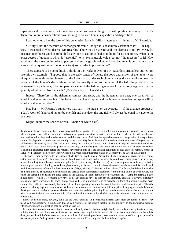capacities and dispositions. But moral considerations have nothing to do with political economy (III. i. 2). Therefore, moral considerations have nothing to do with human capacities and dispositions.

I do not wholly like the look of this conclusion from Mr Mill's statements: — let us try Mr Ricardo's.

"Utility is not the measure of exchangeable value, though it is absolutely essential to it." — (Chap. I. sect. i) essential in what degree, Mr Ricardo? There may be greater and less degrees of utility. Meat, for instance, may be so good as to be fit for any one to eat, or so bad as to be fit for no one to eat. What is the exact degree of goodness which is "essential" to its exchangeable value, but not "the measure" of it? How good must the meat be, in order to possess any exchangeable value; and how bad must it be — (I wish this were a settled question in London markets) — in order to possess none?

There appears to be some hitch, I think, in the working even of Mr. Ricardo's principles; but let him take his own example. "Suppose that in the early stages of society the bows and arrows of the hunter were of equal value with the implements of the fisherman. Under such circumstances the value of the deer, the produce of the hunter's day's labour, would be exactly equal to the value of the fish, the product of the fisherman's day's labour, The comparative value of the fish and game would be entirely regulated by the quantity of labour realized in each." (Ricardo, chap. iii. On Value).

Indeed! Therefore, if the fisherman catches one sprat, and the huntsman one deer, one sprat will be equal in value to one deer but if the fisherman catches no sprat, and the huntsman two deer, no sprat will be equal in value to two deer?

Nay but — Mr Ricardo's supporters may say — he means, on an average, — if the average product of a day's work of fisher and hunter be one fish and one deer, the one fish will always be equal in value to the one deer.

Might I inquire the species of fish? Whale? or white-bait<sup>7</sup>?

 $<sup>7</sup>$ Perhaps it may be said, in farther support of Mr Ricardo, that he meant, "when the utility is constant or given, the price varies</sup> as the quantity of labour." If he meant this, he should have said it; but, had he meant it, he could have hardly missed the necessary result, that utility would be one measure of price (which he expressly denies it to be); and that, to prove saleableness, he had to prove a given quantity of utility, as well as a given quantity of labour: to wit, in his own instance, that the deer and fish would each feed the same number of men, for the same number of days, with equal pleasure to their palates. The fact is, he did not know what he meant himself. The general idea which he had derived from commercial experience, without being able to analyze it, was, that when the demand is constant, the price varies as the quantity of labour required for production; or, — using the formula I gave in last paper — when y is constant, x y varies as x. But demand never is, nor can be, ultimately constant, if x varies distinctly; for, as price rises, consumers fall away; and as soon as there is a monopoly (and all scarcity is a form of monopoly; so that every commodity is affected occasionally by some colour of monopoly), y becomes the most influential condition of the price. Thus the price of a painting depends less on its merits than on the interest taken in it by the public; the price of singing less on the labour of the singer than the number of persons who desire to hear him; and the price of gold less on the scarcity which affects it in common with cerium or iridium, than on the sunlight colour and unalterable purity by which it attracts the admiration and answers the trust of mankind.

It must be kept in mind, however, that I use the word "demand" in a somewhat different sense from economists usually. They mean by it "the quantity of a thing sold." I mean by it "the force of the buyer's capable intention to buy." In good English, a person's "demand" signifies, not what he gets, but what he asks for.

Economists also do not notice that objects are not valued by absolute bulk or weight, but by such bulk and weight as is necessary to bring them into use. They say, for instance, that water bears no price in the market. It is true that a cupful does not, but a lake does; just as a handful of dust does not, but an acre does. And were it possible to make even the possession of the cupful or handful permanent, (i.e. to find a place for them,) the earth and sea would be bought up for handfuls and cupfuls.

the above instance, economists have never perceived that disposition to buy is a wholly moral element in demand: that is to say, when you give a man half-a-crown, it depends on his disposition whether he is rich or poor with it — whether he will buy disease, ruin, and hatred, or buy health, advancement, and domestic love. And thus the agreeableness or exchange value of every offered commodity depends on production, not merely of the commodity, but of buyers of it; therefore on the education of buyers, and on all the moral elements by which their disposition to buy this, or that, is formed. I will illustrate and expand into final consequences every one of these definitions in its place: at present they can only be given with extremest brevity; for in order to put the subject at once in a connected form before the reader, I have thrown into one, the opening definitions of four chapters; namely, of that on Value ("Ad Valorem"); on Price ("Thirty Pieces"); on Production ("Demeter"); and on Economy ("The Law of the House").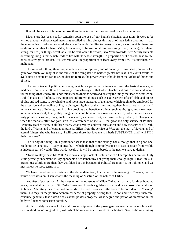It would be waste of time to purpose these fallacies farther; we will seek for a true definition.

Much store has been set for centuries upon the use of our English classical education. It were to be wished that our well-educated merchants recalled to mind always this much of their latin schooling, — that the nominative of valorem (a word already sufficiently familiar to them) is valor; a word which, therefore, ought to be familiar to them. Valor, from valere, to be well or strong; — strong, life (if a man), or valiant; strong, for life (if a thing), or valuable. To be "valuable," therefore, is to "avail towards life." A truly valuable or availing thing is that which leads to life with its whole strength. In proportion as it does not lead to life, or as its strength is broken, it is less valuable; in proportion as it leads away from life, it is unvaluable or malignant.

The value of a thing, therefore, is independent of opinion, and of quantity. Think what you will of it, gain how much you may of it, the value of the thing itself is neither greater nor less. For ever it avails, or avails not; no estimate can raise, no disdain repress, the power which it holds from the Maker of things and of men.

The real science of political economy, which has yet to be distinguished from the bastard science, as medicine from witchcraft, and astronomy from astrology, is that which teaches nations to desire and labour for the things that lead to life: and which teaches them to scorn and destroy the things that lead to destruction. And if, in a state of infancy, they supposed indifferent things, such as excrescences of shell-fish, and pieces of blue and red stone, to be valuable, and spent large measures of the labour which ought to be employed for the extension and ennobling of life, in diving or digging for them, and cutting them into various shapes,or if, in the same state of infancy, they imagine precious and beneficent things, such as air, light, and cleanliness, to be valueless,-or if, finally, they imagine the conditions of their own existence, by which alone they can truly possess or use anything, such, for instance, as peace, trust, and love, to be prudently exchangeable, when the markets offer, for gold, iron, or excressences of shells — the great and only science of Political Economy teaches them, in all these cases, what is vanity, and what substance; and how the service of Death, the lord of Waste, and of eternal emptiness, differs from the service of Wisdom, the lady of Saving, and of eternal fulness; she who has said, "I will cause those that love me to inherit SUBSTANCE; and I will FILL their treasures."

The "Lady of Saving," in a profounder sense than that of the savings bank, though that is a good one: Madonna della Salute, — Lady of Health, — which, though commonly spoken of as if separate from wealth, is indeed a part of wealth. This word, "wealth," it will be remembered, is the next we have to define.

"To be wealthy" says Mr Mill, "is to have a large stock of useful articles." I accept this definition. Only let us perfectly understand it. My opponents often lament my not giving them enough logic: I fear I must at present use a little more than they will like: but this business of Political Economy is no light one, and we must allow no loose terms in it.

We have, therefore, to ascertain in the above definition, first, what is the meaning of "having," or the nature of Possession. Then what is the meaning of "useful," or the nature of Utility.

And first of possession. At the crossing of the transepts of Milan Cathedral has lain, for three hundred years, the embalmed body of St. Carlo Borromeo. It holds a golden crosier, and has a cross of emeralds on its breast. Admitting the crosier and emeralds to be useful articles, is the body to be considered as "having" them? Do they, in the politico-economical sense of property, belong to it? If not, and if we may, therefore, conclude generally that a dead body cannot possess property, what degree and period of animation in the body will render possession possible?

As thus: lately in a wreck of a Californian ship, one of the passengers fastened a belt about him with two hundred pounds of gold in it, with which he was found afterwards at the bottom. Now, as he was sinking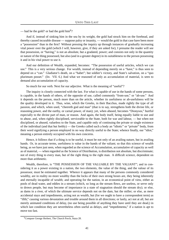— had he the gold? or had the gold him<sup>8</sup>?

And if, instead of sinking him in the sea by its weight, the gold had struck him on the forehead, and thereby caused incurable disease — suppose palsy or insanity, — would the gold in that case have been more a "possession" than in the first? Without pressing the inquiry up through instances of gradually increasing vital power over the gold (which I will, however, give, if they are asked for), I presume the reader will see that possession, or "having," is not an absolute, but a gradated, power; and consists not only in the quantity or nature of the thing possessed, but also (and in a greater degree) in its suitableness to the person possessing it and in his vital power to use it.

And our definition of Wealth, expanded, becomes: "The possession of useful articles, which we can use." This is a very serious change. For wealth, instead of depending merely on a "have," is thus seen to depend on a "can." Gladiator's death, on a "habet"; but soldier's victory, and State's salvation, on a "quo plurimum posset." (liv. VII. 6.) And what we reasoned of only as accumulation of material, is seen to demand also accumulation of capacity.

So much for our verb. Next for our adjective. What is the meaning of "useful"?

The inquiry is closely connected with the last. For what is capable of use in the hands of some persons, is capable, in the hands of others, of the opposite of use, called commonly "from-use," or "ab-use." And it depends on the person, much more than on the article, whether its usefulness or ab-usefulness will be the quality developed in it. Thus, wine, which the Greeks, in their Bacchus, made rightly the type of all passion, and which, when used, "cheereth god and man" (that is to say, strengthens both the divine life, or reasoning power, and the earthy, or carnal power, of man); yet, when abused, becomes "Dionysos," hurtful especially to the divine part of man, or reason. And again, the body itself, being equally liable to use and to abuse, and, when rightly disciplined, serviceable to the State, both for war and labour, — but when not disciplined, or abused, valueless to the State, and capable only of continuing the private or single existence of the individual (and that but feebly) — the Greeks called such a body an "idiotic" or "private" body, from their word signifying a person employed in no way directly useful to the State; whence finally, our "idiot," meaning a person entirely occupied with his own concerns.

Hence, it follows that if a thing is to be useful, it must be not only of an availing nature, but in availing hands. Or, in accurate terms, usefulness is value in the hands of the valiant; so that this science of wealth being, as we have just seen, when regarded as the science of Accumulation, accumulative of capacity as well as of material, — when regarded as the Science of Distribution, is distribution not absolute, but discriminate; not of every thing to every man, but of the right thing to the right man. A difficult science, dependent on more than arithmetic.

Wealth, therefore, is "THE POSSESSION OF THE VALUABLE BY THE VALIANT"; and in considering it as a power existing in a nation, the two elements, the value of the thing, and the valour of its possessor, must be estimated together. Whence it appears that many of the persons commonly considered wealthy, are in reality no more wealthy than the locks of their own strong boxes are, they being inherently and eternally incapable of wealth; and operating for the nation, in an economical point of view, either as pools of dead water, and eddies in a stream (which, so long as the stream flows, are useless, or serve only to drown people, but may become of importance in a state of stagnation should the stream dry); or else, as dams in a river, of which the ultimate service depends not on the dam, but the miller; or else, as mere accidental stays and impediments, acting not as wealth, but (for we ought to have a correspondent term) as "illth," causing various devastation and trouble around them in all directions; or lastly, act not at all, but are merely animated conditions of delay, (no use being possible of anything they have until they are dead,) in which last condition they are nevertheless often useful as delays, and "impedimenta," if a nation is apt to move too fast.

<sup>8</sup>Compare George Herbert, The Church Porch, Staza 28.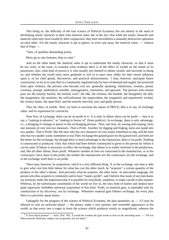This being so, the difficulty of the true science of Political Economy lies not merely in the need of developing manly character to deal with material value, but in the fact, that while the manly character and material value only form wealth by their conjunction, they have nevertheless a mutually destructive operation on each other. For the manly character is apt to ignore, or even cast away, the material value: — whence that of Pope: —

"Sure, of qualities demanding praise,

More go to ruin fortunes, than to raise."

And on the other hand, the material value is apt to undermine the manly character; so that it must be our work, in the issue, to examine what evidence there is of the effect of wealth on the minds of its possessors; also, what kind of person it is who usually sets himself to obtain wealth, and succeeds in doing so; and whether the world owes more gratitude to rich or to poor men, either for their moral influence upon it, or for chief goods, discoveries, and practical advancements. I may, however, anticipate future conclusions, so far asto state that in a community regulated only by laws of demand and supply, but protected from open violence, the persons who become rich are, generally speaking, industrious, resolute, proud, covetous, prompt, methodical, sensible, unimaginative, insensitive, and ignorant. The persons who remain poor are the entirely foolish, the entirely wise<sup>9</sup>, the idle, the reckless, the humble, the thoughtful, the dull, the imaginative, the sensitive, the well-informed, the improvident, the irregularly and impulsively wicked, the clumsy knave, the open thief, and the entirely merciful, just, and godly person.

Thus far, then, of wealth. Next, we have to ascertain the nature of PRICE; that is to say, of exchange value, and its expression by currencies.

Note first, of exchange, there can be no profit in it. It is only in labour there can be profit — that is to say, a "making in advance," or "making in favour of" (from proficio). In exchange, there is only advantage, i.e., a bringing of vantage or power to the exchanging persons. Thus, one man, by sowing and reaping, turns one measure of corn into two measures. That is Profit. Another, by digging and forging, turns one spade into two spades. That is Profit. But the man who has two measures of corn wants sometimes to dig; and the man who has two spades wants sometimes to eat:They exchange the gained grain for the gained tool; and both are the better for the exchange; but though there is much advantage in the transaction, there is no profit. Nothing is constructed or produced. Only that which had been before constructed is given to the person by whom it can be used. If labour is necessary to effect the exchange, that labour is in reality involved in the production, and, like all other labour, bears profit. Whatever number of men are concerned in the manufacture, or in the conveyance, have share in the profit; but neither the manufacture nor the conveyance are the exchange, and in the exchange itself there is no profit.

There may, however, be acquisition, which is a very different thing. If, in the exchange, one man is able to give what cost him little labour for what has cost the other much, he "acquires" a certain quantity of the produce of the other's labour. And precisely what he acquires, the other loses. In mercantile language, the person who thus acquires is commonly said to have "made a profit"; and I believe that many of our merchants are seriously under the impression that it is possible for everybody, somehow, to make a profit in this manner. Whereas, by the unfortunate constitution of the world we live in, the laws both of matter and motion have quite rigorously forbidden universal acquisition of this kind. Profit, or material gain, is attainable only by construction or by discovery; not by exchange. Whenever material gain follows exchange, for every plus there is a precisely equal minus.

Unhappily for the progress of the science of Political Economy, the plus quantities,  $\sigma r$ ,  $\vec{r}$  I may be allowed to coin an awkward plural — the pluses, make a very positive and venerable appearance in the world, so that every one is eager to learn the science which produces results so magnificent; whereas the

<sup>&</sup>lt;sup>9, "</sup>O Zeus dipou penetai" — Arist. Plut. 582. It would but weaken the grad words to lean on the preceding ones: — "Oti tou Platon parecho Beltionas, andpas, kai tin gnomen, kai ten idean."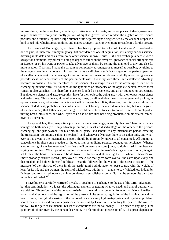minuses have, on the other hand, a tendency to retire into back streets, and other places of shade, — or even to get themselves wholly and finally put out of sight in graves: which renders the algebra of this science peculiar, and difficultly legible; a large number of its negative signs being written by the account-keeper in a kind of red ink, which starvation thins, and makes strangely pale, or even quite invisible ink, for the present.

The Science of Exchange, or, as I hear it has been proposed to call it, of "Catallactics," considered as one of gain, is, therefore, simply nugatory; but considered as one of acquisition, it is a very curious science, differing in its data and basis from every other science known. Thus: — if I can exchange a needle with a savage for a diamond, my power of doing so depends either on the savage's ignorance of social arrangements in Europe, or on his want of power to take advantage of them, by selling the diamond to any one else for more needles. If, farther, I make the bargain as completely advantageous to myself as possible, by giving to the savage a needle with no eye in it (reaching, thus a sufficiently satisfactory type of the perfect operation of catallactic science), the advantage to me in the entire transaction depends wholly upon the ignorance, powerlessness, or heedlessness of the person dealt with. Do away with these, and catallactic advantage becomes impossible. So far, therefore, as the science of exchange relates to the advantage of one of the exchanging persons only, it is founded on the ignorance or incapacity of the opposite person. Where these vanish, it also vanishes. It is therefore a science founded on nescience, and an art founded on artlessness. But all other sciences and arts, except this, have for their object the doing away with their opposite nescience and artlessness. This science, alone of sciences, must, by all available means, promulgate and prolong its opposite nescience; otherwise the science itself is impossible. It is, therefore, peculiarly and alone the science of darkness; probably a bastard science — not by any means a divina scientia, but one begotten of another father, that father who, advising his children to turn stones into bread, is himself employed in turning bread into stones, and who, if you ask a fish of him (fish not being producible on his estate), can but give you a serpent.

The general law, then, respecting just or economical exchange, is simply this: — There must be advantage on both sides (or if only advantage on one, at least no disadvantage on the other) to the persons exchanging; and just payment for his time, intelligence, and labour, to any intermediate person effecting the transaction (commonly called a merchant); and whatever advantage there is on either side, and whatever pay is given to the intermediate person, should be thoroughly known to all concerned. All attempt at concealment implies some practice of the opposite, or undivine science, founded on nescience. Whence another saying of the Jew merchant's — "As a nail between the stone joints, so doth sin stick fast between buying and selling." Which peculiar riveting of stone and timber, in men's dealings with each other, is again set forth in the house which was to be destroyed — timber and stones together — when Zechariah's roll (more probably "curved sword") flew over it: "the curse that goeth forth over all the earth upon every one that stealeth and holdeth himself guiltless," instantly followed by the vision of the Great Measure; — the measure "of the injustice of them in all the earth" (auti i adikia auton en pase te ge), with the weight of lead for its lid, and the woman, the spirit of wickedness, within it; — that is to say, Wickedness hidden by Dulness, and formalized, outwardly, into ponderously established cruelty. "It shall be set upon its own base in the land of Babel." 10

I have hitherto carefully restricted myself, in speaking of exchange, to the use of the term "advantage"; but that term includes two ideas; the advantage, namely, of getting what we need, and that of getting what we wish for. Three-fourths of the demands existing in the world are romantic; founded on visions, idealisms, hopes, and affections; and the regulation of the purse is, in its essence, regulation of the imagination and the heart. Hence, the right discussion of the nature of price is a very high metaphysical and psychical problem; sometimes to be solved only in a passionate manner, as by David in his counting the price of the water of the well by the gate of Bethlehem; but its first conditions are the following: — The price of anything is the quantity of labour given by the person desiring it, in order to obtain possession of it. This price depends on

 $10$ <sup>23</sup>. Zech. v. ii.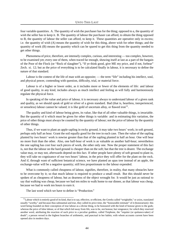four variable quantities. A. The quantity of wish the purchaser has for the thing; opposed to a, the quantity of wish the seller has to keep it. B. The quantity of labour the purchaser can afford, to obtain the thing opposed to B, the quantity of labour the seller can afford, to keep it. These quantities are operative only in excess; i.e. the quantity of wish (A) means the quantity of wish for this thing, above wish for other things; and the quantity of work (B) means the quantity which can be spared to get this thing from the quantity needed to get other things.

Phenomena of price, therefore, are intensely complex, curious, and interesting — too complex, however, to be examined yet; every one of them, when traced far enough, showing itself at last as a part of the bargain of the Poor of the Flock (or "flock of slaughter"), "If ye think good, give ME my price, and if not, forbear" Zech. xi. 12; but as the price of everything is to be calculated finally in labour, it is necessary to define the nature of that standard.

Labour is the contest of the life of man with an opposite; — the term "life" including his intellect, soul, and physical power, contending with question, difficulty, trial, or material force.

Labour is of a higher or lower order, as it includes more or fewer of the elements of life: and labour of good quality, in any kind, includes always as much intellect and feeling as will fully and harmoniously regulate the physical force.

In speaking of the value and price of labour, it is necessary always to understand labour of a given rank and quality, as we should speak of gold or silver of a given standard. Bad (that is, heartless, inexperienced, or senseless) labour cannot be valued; it is like gold of uncertain alloy, or flawed iron<sup>11</sup>.

The quality and kind of labour being given, its value, like that of all other valuable things, is invariable. But the quantity of it which must be given for other things is variable: and in estimating this variation, the price of other things must always be counted by the quantity of labour; not the price of labour by the quantity of other things.

Thus, if we want to plant an apple sapling in rocky ground, it may take two hours' work; in soft ground, perhaps only half an hour. Grant the soil equally good for the tree in each case. Then the value of the sapling planted by two hours' work is nowise greater than that of the sapling planted in half an hour. One will bear no more fruit than the other. Also, one half-hour of work is as valuable as another half-hour; nevertheless the one sapling has cost four such pieces of work, the other only one. Now the proper statement of this fact is, not that the labour on the hard ground is cheaper than on the soft; but that the tree is dearer. The exchange value may, or may not, afterwards depend on this fact. If other people have plenty of soft ground to plant in, they will take no cognizance of our two hours' labour, in the price they will offer for the plant on the rock. And if, through want of sufficient botanical science, we have planted an upas tree instead of an apple, the exchange-value will be a negative quantity; still less proportionate to the labour expended.

What is commonly called cheapness of labour, signifies, therefore, in reality, that many obstacles have to be overcome by it; so that much labour is required to produce a small result. But this should never be spoken of as cheapness of labour, but as dearness of the object wrought for. It would be just as rational to say that walking was cheap, because we had ten miles to walk home to our dinner, as that labour was cheap, because we had to work ten hours to earn it.

The last word which we have to define is "Production."

<sup>&</sup>lt;sup>11</sup>Labour which is entirely good of its kind, that is to say, effective, or efficient, the Greeks called "weighable," or axios, translated usually "worthy," and because thus substantial and true, they called its price time, the "honourable estimate" of it (honorarium): this word being founded on their conception of true labour as a divine thing, to be honoured with the kind of honour given to the gods; whereas the price of false labour, or of that which led away from life, was to be, not honour, but vengeance; for which they reserved another word, attributing the exaction of such price to a peculiar goddess, called Tisiphone, the "requiter (or quittance-taker) of death"; a person versed in the highest branches of arithmetic, and punctual in her habits; with whom accounts current have been opened also in modern days.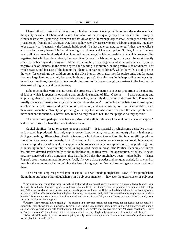I have hitherto spoken of all labour as profitable; because it is impossible to consider under one head the quality or value of labour, and its aim. But labour of the best quality may be various in aim. It may be either constructive ("gathering" from con and struo), as agriculture; nugatory, as jewel-cutting; or destructive ("scattering," from de and struo), as war. It is not, however, always easy to prove labour, apparently nugatory, to be actually so<sup>12</sup>; generally, the formula holds good: "he that gathereth not, scattereth"; thus, the jeweller's art is probably very harmful in its ministering to a clumsy and inelegant pride. So that, finally, I believe nearly all labour may be shortly divided into positive and negative labour: positive, that which produces life; negative, that which produces death; the most directly negative labour being murder, and the most directly positive, the bearing and rearing of children; so that in the precise degree in which murder is hateful, on the negative side of idleness, in the exact degree child-rearing is admirable, on the positive side of idleness. For which reason, and because of the honour that there is in rearing children<sup>13</sup>, while the wife is said to be as the vine (for cheering), the children are as the olive branch, for praise: nor for praise only, but for peace (because large families can only be reared in times of peace): though since, in their spreading and voyaging in various directions, they distribute strength, they are, to the home strength, as arrives in the hand of the giant — striking here, and there far away.

Labour being thus various in its result, the prosperity of any nation is in exact proportion to the quantity of labour which it spends in obtaining and employing means of life. Observe, — I say, obtaining and employing; that is to say, not merely wisely producing, but wisely distributing and consuming. Economists usually speak as if there were no good in consumption absolute<sup>14</sup>. So far from this being so, consumption absolute is the end, crown, and perfection of production; and wise consumption is a far more difficult art than wise production. Twenty people can gain money for one who can use it; and the vital question, for individual and for nation, is, never "how much do they make?" but "to what purpose do they spend?"

The reader may, perhaps, have been surprised at the slight reference I have hitherto made to "capital," and its functions. It is here the place to define them.

Capital signifies "head, or source, or root material" — it is material by which some derivative or secondary good is produced. It is only capital proper (caput vivum, not caput mortuum) when it is thus producing something different from itself. It is a root, which does not enter into vital function till it produces something else than a root: namely, fruit. That fruit will in time again produce roots; and so all living capital issues in reproduction of capital; but capital which produces nothing but capital is only root producing root; bulb issuing in bulb, never in tulip; seed issuing in seed, never in bread. The Political Economy of Europe has hitherto devoted itself wholly to the multiplication, or (less even) the aggregation, of bulbs. It never saw, nor conceived, such a thing as a tulip. Nay, boiled bulbs they might have been — glass bulbs — Prince Rupert's drops, consummated in powder (well, if it were glass-powder and not gunpowder), for any end or meaning the economists had in defining the laws of aggregation. We will try and get a clearer notion of them.

The best and simplest general type of capital is a well-made ploughshare. Now, if that ploughshare did nothing but beget other ploughshares, in a polypous manner, — however the great cluster of polypous

 $12$ The most accurately nugatory labour is, perhaps, that of which not enough is given to answer a purpose effectually, and which, therefore, has all to be done over again. Also, labour which fails of effect through non-co-operation. The cure of a little village near Bellinzona, to whom I had expressed wonder that the peasants allowed the Ticino to flood their fields, told me that they would not join to build an effectual embankment high up the valley, because everybody said "that would help his neighbours as much as himself." So every proprietor built a bit of low embankment about his own field; and the Ticino, as soon as it had a mind, swept away and swallowed all up together.

 $<sup>13</sup>$ Observe, I say, rearing," not "begetting." The praise is in the seventh season, not in sporitos, nor in phutalia, but in opora. It is</sup> strange that men always praise enthusiastically any person who, by a momentary exertion, saves a life; but praise very hesitatingly a person who, by exertion and self-denial prolonged through years, creates one. We give the crown "ob civem servatum"; — why not "ob civem natum?" Born, I mean, to the full, in soul as well as body. England has oak enough, I think, for both chaplets.

<sup>&</sup>lt;sup>14</sup>When Mr Mill speaks of productive consumption, he only means consumption which results in increase of capital, or material wealth. See I. iii. 4, and I. iii. 5.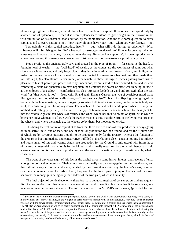plough might glitter in the sun, it would have lost its function of capital. It becomes true capital only by another kind of splendour, — when it is seen "splendescere sulco," to grow bright in the furrow; rather with diminution of its substance, than addition, by the noble friction. And the true home question, to every capitalist and to every nation, is not, "how many ploughs have you?" but, "where are your furrows?" not — "how quickly will this capital reproduce itself?" — but, "what will it do during reproduction?" What substance will it furnish, good for life? what work construct, protective of life? if none, its own reproduction is useless — if worse than none, (for capital may destroy life as well as support it), its own reproduction is worse than useless; it is merely an advance from Tisiphone, on mortgage — not a profit by any means.

Not a profit, as the ancients truly saw, and showed in the type of Ixion; — for capital is the head, or fountain head of wealth — the "well-head" of wealth, as the clouds are the well-heads of rain; but when clouds are without water, and only beget clouds, they issue in wrath at last, instead of rain, and in lightning instead of harvest; whence Ixion is said first to have invited his guests to a banquet, and then made them fall into a pit, (as also Demas' silver mine,) after which, to show the rage of riches passing from lust of pleasure to lust of power, yet power not truly understood, Ixion is said to have desired Juno, and instead, embracing a cloud (or phantasm), to have begotten the Centaurs; the power of mere wealth being, in itself, as the embrace of a shadow, — comfortless, (so also "Ephraim feedeth on wind and followth after the east wind;" or "that which is not" — Prov. xxiii. 5; and again Dante's Geryon, the type of avaricious fraud, as he flies, gathers the air up with retractile claws, — "l'aer a se raccolse"<sup>15</sup>) but in its offspring, a mingling of the brutal with the human nature; human in sagacity — using both intellect and arrow; but brutal in its body and hoof, for consuming, and trampling down. For which sin Ixion is at last bound upon a wheel — fiery and toothed, and rolling perpetually in the air: — the type of human labour when selfish and fruitless (kept far into the Middle Ages in their wheels of fortune); the wheel which has in it no breath or spirit, but is whirled by chance only; whereas of all true work the Ezekiel vision is true, that the Spirit of the living creature is in the wheels, and where the angels go, the wheels go by them; but move no otherwise.

This being the real nature of capital, it follows that there are two kinds of true production, always going on in an active State: one of seed, and one of food; or production for the Ground, and for the Mouth; both of which are by covetous persons thought to be production only for the granary; whereas the function of the granary is but intermediate and conservative, fulfilled in distribution; else it ends in nothing but mildew, and nourishment of rats and worms. And since production for the Ground is only useful with future hope of harvest, all essential production is for the Mouth; and is finally measured by the mouth; hence, as I said above, consumption is the crown of production; and the wealth of a nation is only to be estimated by what it consumes.

The want of any clear sight of this fact is the capital error, issuing in rich interest and revenue of error among the political economists. Their minds are continually set on money-gain, not on mouth-gain; and they fall into every sort of net and snare, dazzled by the coin-glitter as birds by the fowler's glass; or rather (for there is not much else like birds in them) they are like children trying to jump on the heads of their own shadows; the money-gain being only the shadow of the true gain, which is humanity.

The final object of political economy, therefore, is to get good method of consumption, and great quantity of consumption: in other words, to use everything, and to use it nobly. whether it be substance, service, or service perfecting substance. The most curious error in Mr Mill's entire work, (provided for him

<sup>&</sup>lt;sup>15</sup>So also in the vision of the women bearing the ephah, before quoted, "the wind was in their wings," not wings "of a stork," as in our version; but "miivi," of a kite, in the Vulgate, or perhaps more accurately still in the Septuagint, "hoopoe," a bird connected typically with the power of riches by many traditions, of which that of its petition for a crest of gold is perhaps the most interesting. The "Birds" of Aristophanes, in which its part is principal, are full of them; note especially the "fortification of the air with baked bricks, like Babylon," I. 550; and, again, compare the Plutus of Dante, who (to show the influence of riches in destroying the reason) is the only one of the powers of the Inferno who cannot speak intelligibly and also the cowardliest; he is not merely quelled or restrained, but literally "collapses" at a word; the sudden and helpless operation of mercantile panic being all told in the brief metaphor, "as the sails, swollen with the wind, fall, when the mast breaks."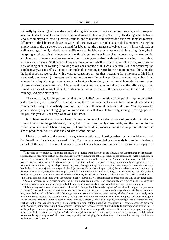originally by Ricardo,) is his endeavour to distinguish between direct and indirect service, and consequent assertion that a demand for commodities is not demand for labour (I. v. 9, et seq.). He distinguishes between labourers employed to lay out pleasure grounds, and to manufacture velvet; declaring that it makes material difference to the labouring classes in which of these two ways a capitalist spends his money; because the employment of the gardeners is a demand for labour, but the purchase of velvet is not<sup>16</sup>. Error colossal, as well as strange. It will, indeed, make a difference to the labourer whether we bid him swing his scythe in the spring winds, or drive the loom in pestilential air. but, so far as his pocket is concerned, it makes, to him absolutely no difference whether we order him to make green velvet, with seed and a scythe, or red velvet, with silk and scissors. Neither does it anywise concern him whether, when the velvet is made, we consume it by walking on it, or wearing it, so long as our consumption of it is wholly selfish. But if our consumption is to be in anywise unselfish, not only our mode of consuming the articles we require interests him, but also the kind of article we require with a view to consumption. As thus (returning for a moment to Mr Mill's great hardware theory<sup>17</sup>): it matters, so far as the labourer's immediate profit is concerned, not an iron filing whether I employ him in growing a peach, or forging a bombshell; but my probable mode of consumption of those articles matters seriously. Admit that it is to be in both cases "unselfish," and the difference, to him, is final, whether when his child is ill, I walk into his cottage and give it the peach, or drop the shell down his chimney, and blow his roof off.

The worst of it, for the peasant, is, that the capitalist's consumption of the peach is apt to be selfish, and of the shell, distributive<sup>18</sup>; but, in all cases, this is the broad and general fact, that on due catallactic commercial principles, somebody's roof must go off in fulfilment of the bomb's destiny. You may grow for your neighbour, at your liking, grapes or grape-shot; he will also, catallactically, grow grapes or grape-shot for you, and you will each reap what you have sown.

It is, therefore, the manner and issue of consumption which are the real tests of production. Production does not consist in things laboriously made, but in things serviceably consumable; and the question for the nation is not how much labour it employs, but how much life it produces. For as consumption is the end and aim of production, so life is the end and aim of consumption.

I left this question to the reader's thought two months ago, choosing rather that he should work it out for himself than have it sharply stated to him. But now, the ground being sufficiently broken (and the details into which the several questions, here opened, must lead us, being too complex for discussion in the pages of

<sup>&</sup>lt;sup>16</sup>The value of raw material, which has, indeed, to be deducted from the price of the labour, is not contemplated in the passages referred to, Mr. Mill having fallen into the mistake solely by pursuing the collateral results of the payment of wages to middlemen. He says" The consumer does not, with his own funds, pay the weaver for his day's work. "Pardon me; the consumer of the velvet pays the weaver with his own funds as much as he pays the gardener. He pays, probably, an intermediate ship-owner, velvet merchant, and shopman; pays carriage money, shop rent, damage money, time money, and care money; all these are above and beside the velvet price, (just as the wages of a head gardener would be above the grass price). but the velvet is as much produced by the consumer's capital, though he does not pay for it till six months after production, as the grass is produced by his capital, though he does not pay the man who mowed and rolled it on Monday, till Saturday afternoon. I do not know if Mr. Mill's conclusion, — "the capital cannot be dispensed with, the purchasers can " (p. 98), has yet been reduced to practice in the City on any large scale.

<sup>&</sup>lt;sup>17</sup>Which, observe, is the precise opposite of the one under examination. The hardware theory required us to discharge our gardeners and engage manufacturers; the velvet theory requires us to discharge our manufacturers and engage gardeners.

 $18$ It is one very awful form of the operation of wealth in Europe that it is entirely capitalists' wealth which supports unjust wars. Just wars do not need so much money to support them; for most of the men who wage such, wage them gratis; but for an unjust war, men's bodies and souls have both to be bought; and the best tools of war for them besides; which makes such war costly to the maximum; not to speak of the cost of base fear, and angry suspicion, between nations which have not grace nor honesty enough in all their multitudes to buy an hour's peace of mind with: as, at present, France and England, purchasing of each other ten millions sterling worth of consternation annually, (a remarkably light crop, half thorns and half aspen leaves, — sown, reaped, and granaried by the "science" of the modern political economist, teaching covetousness instead of truth.) And all unjust war being supportable, if not by pillage of the enemy, only by loans from capitalists, these loans are repaid by subsequent taxation of the people, who appear to have no will in the matter, the capitalists' will being the primary root of the war; but its real root is the covetousness of the whole nation, rendering it incapable of faith, frankness, or justice, and bringing about, therefore, in due time, his own separate loss and punishment to each person.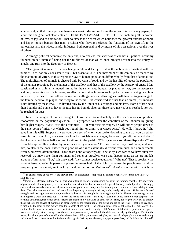a periodical, so that I must pursue them elsewhere), I desire, in closing the series of introductory papers, to leave this one great fact clearly stated. THERE IS NO WEALTH BUT LIFE. Life, including all its powers of love, of joy, and of admiration. That country is the richest which nourishes the greatest number of noble and happy human beings; that man is richest who, having perfected the functions of his own life to the utmost, has also the widest helpful influence, both personal, and by means of his possessions, over the lives of others.

A strange political economy; the only one, nevertheless, that ever was or can be: all political economy founded on self-interest<sup>19</sup> being but the fulfilment of that which once brought schism into the Policy of angels, and ruin into the Economy of Heaven.

"The greatest number of human beings noble and happy." But is the nobleness consistent with the number? Yes, not only consistent with it, but essential to it. The maximum of life can only be reached by the maximum of virtue. In this respect the law of human population differs wholly from that of animal life. The multiplication of animals is checked only by want of food, and by the hostility of races; the population of the gnat is restrained by the hunger of the swallow, and that of the swallow by the scarcity of gnats. Man, considered as an animal, is indeed limited by the same laws: hunger, or plague, or war, are the necessary and only restraints upon his increase, — effectual restraints hitherto, — his principal study having been how most swiftly to destroy himself, or ravage his dwelling-places, and his highest skill directed to give range to the famine, seed to the plague, and sway to the sword. But, considered as other than an animal, his increase is not limited by these laws. It is limited only by the limits of his courage and his love. Both of these have their bounds; and ought to have; his race has its bounds also; but these have not yet been reached, nor will be reached for ages.

In all the ranges of human thought I know none so melancholy as the speculations of political economists on the population question. It is proposed to better the condition of the labourer by giving him higher wages. "Nay," says the economist, — "if you raise his wages, he will either people down to the same point of misery at which you found him, or drink your wages away." He will. I know it. Who gave him this will? Suppose it were your own son of whom you spoke, declaring to me that you dared not take him into your firm, nor even give him his just labourer's wages, because if you did he would die of drunkenness, and leave half a score of children to the parish. "Who gave your son these dispositions?" — I should enquire. Has he them by inheritance or by education? By one or other they must come; and as in him, so also in the poor. Either these poor are of a race essentially different from ours, and unredeemable (which, however, often implied, I have heard none yet openly say), or else by such care as we have ourselves received, we may make them continent and sober as ourselves-wise and dispassionate as we are models arduous of imitation. "But," it is answered, "they cannot receive education." Why not? That is precisely the point at issue. Charitable persons suppose the worst fault of the rich is to refuse the people meat; and the people cry for their meat, kept back by fraud, to the Lord of Multitudes<sup>20</sup>. Alas! it is not meat of which the

 $19$ "In all reasoning about prices, the proviso must be understood, 'supposing all parties to take care of their own interest."' — Mill, III. i. 5.

 $^{20}$ James v. 4. Observe, in these statements I am not talking up, nor countenancing one whit, the common socialist idea of division of property; division of property is its destruction; and with it the destruction of all hope, all industry, and all justice: it is simply chaos a chaos towards which the believers in modern political economy are fast tending, and from which I am striving to save them. The rich man does not keep back meat from the poor by retaining his riches; but by basely using them. Riches are a form of strength; and a strong man does not injure others by keeping his strength, but by using it injuriously. The socialist, seeing a strong man oppress a weak one, cries out. — "Break the strong man's arms." but I say, "Teach him to use them to better purpose." The fortitude and intelligence which acquire riches are intended, by the Giver of both, not to scatter, nor to give away, but to employ those riches in the service of mankind; in other words, in the redemption of the erring and aid of the weak — that is to say, there is first to be the work to gain money; then the Sabbath of use for it — the Sabbath, whose law is, not to lose life, but to save. It is continually the fault or the folly of the poor that they are poor, as it is usually a child's fault if it falls into a pond, and a cripple's weakness that slips at a crossing; nevertheless, most passers — by would pull the child out, or help up the cripple. Put it at the worst, that all the poor of the world are but disobedient children, or careless cripples, and that all rich people are wise and strong, and you will see at once that neither is the socialist right in desiring to make everybody poor, powerless, and foolish as he is himself,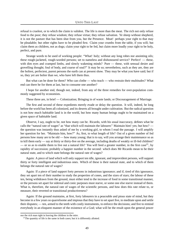refusal is cruelest, or to which the claim is validest. The life is more than the meat. The rich not only refuse food to the poor; they refuse wisdom; they refuse virtue; they refuse salvation. Ye sheep without shepherd, it is not the pasture that has been shut from you, but the Presence. Meat! perhaps your right to that may be pleadable; but other rights have to be pleaded first. Claim your crumbs from the table, if you will; but claim them as children, not as dogs; claim your right to be fed, but claim more loudly your right to be holy, perfect, and pure.

Strange words to be used of working people: "What! holy; without any long robes nor anointing oils; these rough-jacketed, rough-worded persons; set to nameless and dishonoured service? Perfect! — these, with dim eyes and cramped limbs, and slowly wakening minds? Pure — these, with sensual desire and grovelling thought; foul of body, and coarse of soul?" It may be so; nevertheless, such as they are, they are the holiest, perfectest, purest persons the earth can at present show. They may be what you have said; but if so, they yet are holier than we, who have left them thus.

But what can be done for them? Who can clothe — who teach — who restrain their multitudes? What end can there he for them at last, but to consume one another?

I hope for another end, though not, indeed, from any of the three remedies for over-population commonly suggested by economists.

These three are, in brief — Colonization; Bringing in of waste lands; or Discouragement of Marriage.

The first and second of these expedients merely evade or delay the question. It will, indeed, be long before the world has been all colonized, and its deserts all brought under cultivation. But the radical question is not how much habitable land is in the world, but how many human beings ought to be maintained on a given space of habitable land.

Observe, I say, ought to be, not how many can be. Ricardo, with his usual inaccuracy, defines what he calls the "natural rate of wages" as "that which will maintain the labourer." Maintain him! yes; but how? the question was instantly thus asked of me by a working girl, to whom I read the passage. I will amplify her question for her. "Maintain him, how?" As, first, to what length of life? Out of a given number of fed persons how many are to be old — how many young; that is to say, will you arrange their maintenance so as to kill them early — say at thirty or thirty-five on the average, including deaths of weakly or ill-fed children? — or so as to enable them to live out a natural life? You will feed a greater number, in the first case<sup>21</sup>, by rapidity of succession; probably a happier number in the second: which does Mr Ricardo mean to be their natural state, and to which state belongs the natural rate of wages?

Again: A piece of land which will only support ten idle, ignorant, and improvident persons, will support thirty or forty intelligent and industrious ones. Which of these is their natural state, and to which of them belongs the natural rate of wages?

Again: If a piece of land support forty persons in industrious ignorance; and if, tired of this ignorance, they set apart ten of their number to study the properties of cones, and the sizes of stars; the labour of these ten, being withdrawn from the ground, must either tend to the increase of food in some transitional manner, or the persons set apart for sidereal and conic purposes must starve, or some one else starve instead of them. What is, therefore, the natural rate of wages of the scientific persons, and how does this rate relate to, or measure, their reverted or transitional productiveness?

Again: If the ground maintains, at first, forty labourers in a peaceable and pious state of mind, but they become in a few years so quarrelsome and impious that they have to set apart five, to meditate upon and settle their disputes; — ten, armed to the teeth with costly instruments, to enforce the decisions; and five to remind everybody in an eloquent manner of the existence of a God; what will be the result upon the general power

nor the rich man right in leaving the children in the mire.

<sup>&</sup>lt;sup>21</sup>The quantity of life is the same in both cases; but it is differently allotted.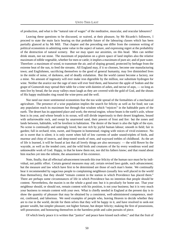of production, and what is the "natural rate of wages" of the meditative, muscular, and oracular labourers?

Leaving these questions to be discussed, or waived, at their pleasure, by Mr Ricardo's followers, I proceed to state the main facts bearing on that probable future of the labouring classes which has been partially glanced at by Mr Mill. That chapter and the preceding one differ from the common writing of political economists in admitting some value in the aspect of nature, and expressing regret at the probability of the destruction of natural scenery. But we may spare our anxieties, on this head. Men can neither drink steam, nor eat stone. The maximum of population on a given space of land implies also the relative maximum of edible vegetable, whether for men or cattle; it implies a maximum of pure air; and of pure water. Therefore: a maximum of wood, to transmute the air, and of sloping ground, protected by herbage from the extreme heat of the sun, to feed the streams. All England may, if it so chooses, become one manufacturing town; and Englishmen, sacrificing themselves to the good of general humanity, may live diminished lives in the midst of noise, of darkness, and of deadly exhalation. But the world cannot become a factory, nor a mine. No amount of ingenuity will ever make iron digestible by the million, nor substitute hydrogen for wine. Neither the avarice nor the rage of men will ever feed them, and however the apple of Sodom and the grape of Gomorrah may spread their table for a time with dainties of ashes, and nectar of asps, — so long as men live by bread, the far away valleys must laugh as they are covered with the gold of God, and the shouts of His happy multitudes ring round the wine-press and the well.

Nor need our more sentimental economists fear the too wide spread of the formalities of a mechanical agriculture. The presence of a wise population implies the search for felicity as well as for food; nor can any population reach its maximum but through that wisdom which "rejoices" in the habitable parts of the earth. The desert has its appointed place and work; the eternal engine, whose beam is the earth's axle, whose beat is its year, and whose breath is its ocean, will still divide imperiously to their desert kingdoms, bound with unfurrowable rock, and swept by unarrested sand, their powers of frost and fire: but the zones and lands between, habitable, will be loveliest in habitation. The desire of the heart is also the light of the eyes. No scene is continually and untiringly loved, but one rich by joyful human labour; smooth in field; fair in garden; full in orchard; trim, sweet, and frequent in homestead; ringing with voices of vivid existence. No air is sweet that is silent; it is only sweet when full of low currents of under sound-triplets of birds, and murmur and chirp of insects, and deep-toned words of men, and wayward trebles of childhood. As the art of life is learned, it will be found at last that all lovely things are also necessary: — the wild flower by the wayside, as well as the tended corn; and the wild birds and creatures of the by every wondrous word and unknowable work of God. Happy, in that he knew them not, nor did his fathers know; and that round about him reaches yet into the infinite, the amazement of his existence.

Note, finally, that all effectual advancement towards this true felicity of the human race must be by individual, not public effort. Certain general measures may aid, certain revised laws guide, such advancement; but the measure and law which have first to be determined are those of each man's home. We continually hear it recommended by sagacious people to complaining neighbours (usually less well placed in the world than themselves), that they should "remain content in the station in which Providence has placed them." There are perhaps some circumstances of life in which Providence has no intention that people should be content. Nevertheless, the maxim is on the whole a good one; but it is peculiarly for home use. That your neighbour should, or should not, remain content with his position, is not your business; but it is very much your business to remain content with your own. What is chiefly needed in England at the present day is to show the quantity of pleasure that may be obtained by a consistent, well-administered competence, modest, confessed, and laborious. We need examples of people who, leaving Heaven to decide whether they are to rise in the world, decide for them selves that they will be happy in it, and have resolved to seek-not greater wealth, but simpler pleasure; not higher fortune, but deeper felicity; making the first of possessions, self-possession; and honouring themselves in the harmless pride and calm pursuits of piece.

Of which lowly peace it is written that "justice" and peace have kissed each other;" and that the fruit of